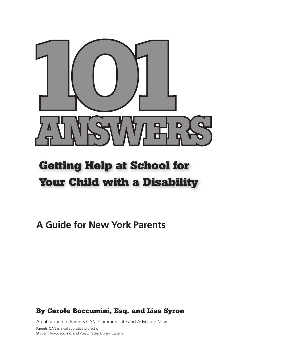

# **Getting Help at School for Your Child with a Disability**

**A Guide for New York Parents**

# **By Carole Boccumini, Esq. and Lisa Syron**

A publication of Parents CAN: Communicate and Advocate Now! Parents CAN is a collaborative project of Student Advocacy, Inc. and Westchester Library System.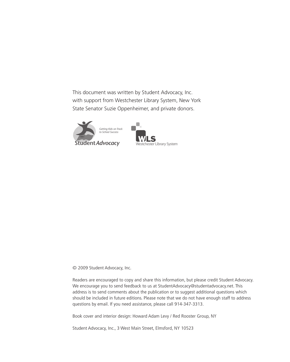This document was written by Student Advocacy, Inc. with support from Westchester Library System, New York State Senator Suzie Oppenheimer, and private donors.





© 2009 Student Advocacy, Inc.

Readers are encouraged to copy and share this information, but please credit Student Advocacy. We encourage you to send feedback to us at StudentAdvocacy@studentadvocacy.net. This address is to send comments about the publication or to suggest additional questions which should be included in future editions. Please note that we do not have enough staff to address questions by email. If you need assistance, please call 914-347-3313.

Book cover and interior design: Howard Adam Levy / Red Rooster Group, NY

Student Advocacy, Inc., 3 West Main Street, Elmsford, NY 10523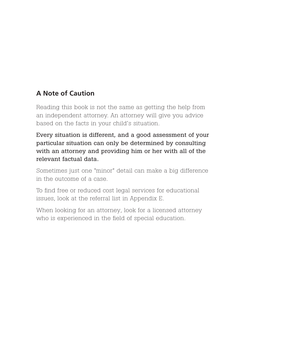# **A Note of Caution**

Reading this book is not the same as getting the help from an independent attorney. An attorney will give you advice based on the facts in your child's situation.

Every situation is different, and a good assessment of your particular situation can only be determined by consulting with an attorney and providing him or her with all of the relevant factual data.

Sometimes just one "minor" detail can make a big difference in the outcome of a case.

To find free or reduced cost legal services for educational issues, look at the referral list in Appendix E.

When looking for an attorney, look for a licensed attorney who is experienced in the field of special education.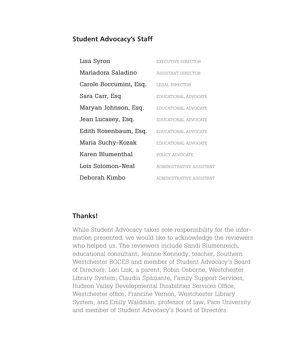#### **Student Advocacy's Staff**

| Lisa Syron             | EXECUTIVE DIRECTOR       |
|------------------------|--------------------------|
| Mariadora Saladino     | ASSISTANT DIRECTOR       |
| Carole Boccumini, Esq. | LEGAL DIRECTOR           |
| Sara Carr, Esq.        | EDUCATIONAL ADVOCATE     |
| Maryan Johnson, Esq.   | EDUCATIONAL ADVOCATE     |
| Jean Lucasey, Esq.     | EDUCATIONAL ADVOCATE     |
| Edith Rosenbaum, Esq.  | EDUCATIONAL ADVOCATE     |
| Maria Suchy-Kozak      | EDUCATIONAL ADVOCATE     |
| Karen Blumenthal       | POLICY ADVOCATE          |
| Lois Solomon-Neal      | ADMINISTRATIVE ASSISTANT |
| Deborah Kimbo          | ADMINISTRATIVE ASSISTANT |

#### **Thanks!**

While Student Advocacy takes sole responsibility for the information presented, we would like to acknowledge the reviewers who helped us. The reviewers include Sandi Blumenreich, educational consultant; Jeanne Kennedy, teacher, Southern Westchester BOCES and member of Student Advocacy's Board of Directors; Lori Lisk, a parent; Robin Osborne, Westchester Library System; Claudia Spaziante, Family Support Services, Hudson Valley Developmental Disabilities Services Office, Westchester office; Francine Vernon, Westchester Library System; and Emily Waldman, professor of law, Pace University and member of Student Advocacy's Board of Directors.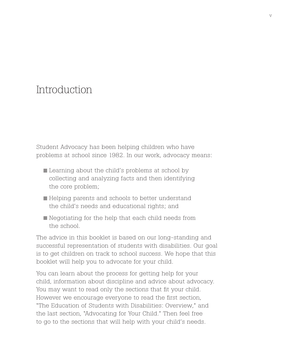# Introduction

Student Advocacy has been helping children who have problems at school since 1982. In our work, advocacy means:

- Learning about the child's problems at school by collecting and analyzing facts and then identifying the core problem;
- Helping parents and schools to better understand the child's needs and educational rights; and
- Negotiating for the help that each child needs from the school.

The advice in this booklet is based on our long-standing and successful representation of students with disabilities. Our goal is to get children on track to school success. We hope that this booklet will help you to advocate for your child.

You can learn about the process for getting help for your child, information about discipline and advice about advocacy. You may want to read only the sections that fit your child. However we encourage everyone to read the first section, "The Education of Students with Disabilities: Overview," and the last section, "Advocating for Your Child." Then feel free to go to the sections that will help with your child's needs.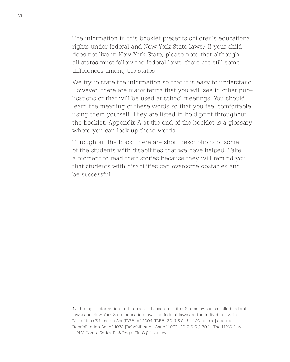The information in this booklet presents children's educational rights under federal and New York State laws.<sup>1</sup> If your child does not live in New York State, please note that although all states must follow the federal laws, there are still some differences among the states.

We try to state the information so that it is easy to understand. However, there are many terms that you will see in other publications or that will be used at school meetings. You should learn the meaning of these words so that you feel comfortable using them yourself. They are listed in bold print throughout the booklet. Appendix A at the end of the booklet is a glossary where you can look up these words.

Throughout the book, there are short descriptions of some of the students with disabilities that we have helped. Take a moment to read their stories because they will remind you that students with disabilities can overcome obstacles and be successful.

1. The legal information in this book is based on United States laws (also called federal laws) and New York State education law. The federal laws are the Individuals with Disabilities Education Act (IDEA) of 2004 [IDEA, 20 U.S.C. § 1400 et. seq] and the Rehabilitation Act of 1973 [Rehabilitation Act of 1973, 29 U.S.C § 794]. The N.Y.S. law is N.Y. Comp. Codes R. & Regs. Tit. 8 § 1, et. seq.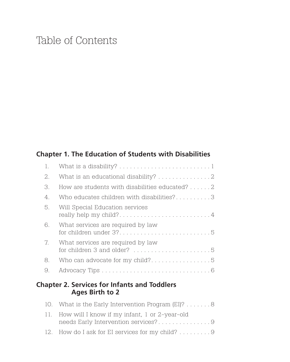# Table of Contents

# **Chapter 1. The Education of Students with Disabilities**

| 1. |                                                                |
|----|----------------------------------------------------------------|
| 2. |                                                                |
| 3. | How are students with disabilities educated? 2                 |
| 4. | Who educates children with disabilities?3                      |
| 5. | Will Special Education services                                |
| 6. | What services are required by law<br>for children under $3$ ?5 |
| 7. | What services are required by law                              |
| 8. | Who can advocate for my child?5                                |
| 9. |                                                                |
|    |                                                                |

# **Chapter 2. Services for Infants and Toddlers Ages Birth to 2**

| 10. What is the Early Intervention Program (EI)? 8 |
|----------------------------------------------------|
| 11. How will I know if my infant, 1 or 2-year-old  |
| needs Early Intervention services?9                |
| 12. How do I ask for EI services for my child? 9   |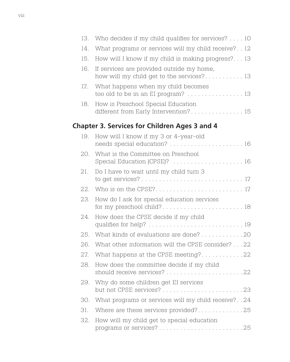| 13. | Who decides if my child qualifies for services?  10                                    |
|-----|----------------------------------------------------------------------------------------|
| 14. | What programs or services will my child receive? 12                                    |
| 15. | How will I know if my child is making progress? 13                                     |
| 16. | If services are provided outside my home,<br>how will my child get to the services? 13 |
| 17. | What happens when my child becomes<br>too old to be in an EI program?  13              |
| 18. | How is Preschool Special Education<br>different from Early Intervention? 15            |
|     | <b>Chapter 3. Services for Children Ages 3 and 4</b>                                   |
| 19. | How will I know if my 3 or 4-year-old<br>needs special education?  16                  |
| 20. | What is the Committee on Preschool<br>Special Education (CPSE)?  16                    |
| 21. | Do I have to wait until my child turn 3                                                |
| 22. |                                                                                        |
| 23. | How do I ask for special education services                                            |
| 24. | How does the CPSE decide if my child                                                   |
| 25. | What kinds of evaluations are done? 20                                                 |
| 26. | What other information will the CPSE consider? 22                                      |
| 27. | What happens at the CPSE meeting?22                                                    |
| 28. | How does the committee decide if my child                                              |
| 29. | Why do some children get EI services                                                   |
| 30. | What programs or services will my child receive?24                                     |
| 31. | Where are these services provided?25                                                   |
| 32. | How will my child get to special education                                             |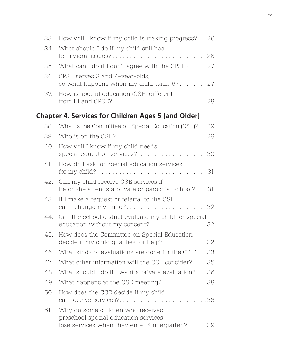| 33. | How will I know if my child is making progress?26                                                                           |
|-----|-----------------------------------------------------------------------------------------------------------------------------|
| 34. | What should I do if my child still has<br>behavioral issues?26                                                              |
| 35. | What can I do if I don't agree with the CPSE? 27                                                                            |
| 36. | CPSE serves 3 and 4-year-olds,<br>so what happens when my child turns 5?27                                                  |
| 37. | How is special education (CSE) different<br>from EI and CPSE?28                                                             |
|     | <b>Chapter 4. Services for Children Ages 5 [and Older]</b>                                                                  |
| 38. | What is the Committee on Special Education (CSE)?29                                                                         |
| 39. |                                                                                                                             |
| 40. | How will I know if my child needs<br>special education services?30                                                          |
| 41. | How do I ask for special education services                                                                                 |
| 42. | Can my child receive CSE services if<br>he or she attends a private or parochial school? 31                                 |
| 43. | If I make a request or referral to the CSE,<br>can I change my mind?32                                                      |
| 44. | Can the school district evaluate my child for special<br>education without my consent? 32                                   |
| 45. | How does the Committee on Special Education<br>decide if my child qualifies for help? 32                                    |
| 46. | What kinds of evaluations are done for the CSE?33                                                                           |
| 47. | What other information will the CSE consider? 35                                                                            |
| 48. | What should I do if I want a private evaluation? 36                                                                         |
| 49. | What happens at the CSE meeting?38                                                                                          |
| 50. | How does the CSE decide if my child<br>can receive services?38                                                              |
| 51. | Why do some children who received<br>preschool special education services<br>lose services when they enter Kindergarten? 39 |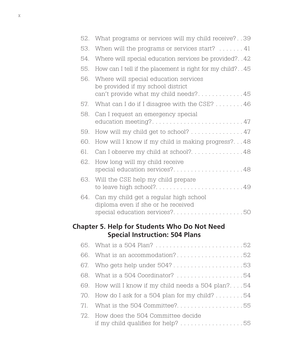| 52. | What programs or services will my child receive?39                                                                 |
|-----|--------------------------------------------------------------------------------------------------------------------|
| 53. | When will the programs or services start? $\dots$ 41                                                               |
| 54. | Where will special education services be provided?42                                                               |
| 55. | How can I tell if the placement is right for my child?45                                                           |
| 56. | Where will special education services<br>be provided if my school district<br>can't provide what my child needs?45 |
| 57. | What can I do if I disagree with the CSE? 46                                                                       |
| 58. | Can I request an emergency special<br>education meeting?47                                                         |
| 59. | How will my child get to school? 47                                                                                |
| 60. | How will I know if my child is making progress?48                                                                  |
| 61. | Can I observe my child at school?48                                                                                |
| 62. | How long will my child receive<br>special education services?48                                                    |
| 63. | Will the CSE help my child prepare<br>to leave high school?49                                                      |
| 64. | Can my child get a regular high school<br>diploma even if she or he received<br>special education services?50      |
|     | <b>Chapter 5. Help for Students Who Do Not Need</b><br><b>Special Instruction: 504 Plans</b>                       |
| 65. |                                                                                                                    |
| 66. | What is an accommodation?52                                                                                        |
| 67. | Who gets help under $504$ ?53                                                                                      |
| 68. | What is a 504 Coordinator? 54                                                                                      |
| 69. | How will I know if my child needs a 504 plan?54                                                                    |
| 70. | How do I ask for a 504 plan for my child? $\dots \dots 54$                                                         |
| 71. | What is the 504 Committee?55                                                                                       |
| 72. | How does the 504 Committee decide<br>if my child qualifies for help? 55                                            |
|     |                                                                                                                    |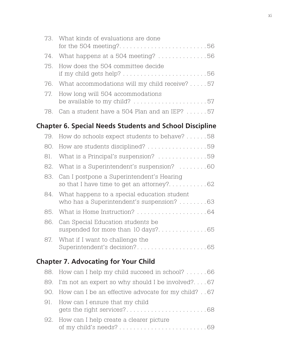| 73. What kinds of evaluations are done<br>for the 504 meeting?56 |
|------------------------------------------------------------------|
| 74. What happens at a 504 meeting? 56                            |
| 75. How does the 504 committee decide                            |
| 76. What accommodations will my child receive? 57                |
| 77. How long will 504 accommodations                             |
| 78. Can a student have a 504 Plan and an IEP? 57                 |

# **Chapter 6. Special Needs Students and School Discipline**

|     | 79. How do schools expect students to behave? 58                                             |
|-----|----------------------------------------------------------------------------------------------|
|     | 80. How are students disciplined? 59                                                         |
|     | 81. What is a Principal's suspension? 59                                                     |
|     | 82. What is a Superintendent's suspension? 60                                                |
|     | 83. Can I postpone a Superintendent's Hearing                                                |
|     | 84. What happens to a special education student<br>who has a Superintendent's suspension? 63 |
|     |                                                                                              |
| 86. | Can Special Education students be                                                            |
|     | 87. What if I want to challenge the                                                          |

# **Chapter 7. Advocating for Your Child**

| 88. How can I help my child succeed in school? 66       |
|---------------------------------------------------------|
| 89. I'm not an expert so why should I be involved?67    |
| 90. How can I be an effective advocate for my child? 67 |
| 91. How can I ensure that my child                      |
| 92. How can I help create a clearer picture             |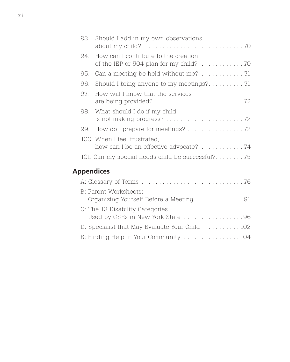|  | 93. Should I add in my own observations                               |  |
|--|-----------------------------------------------------------------------|--|
|  | 94. How can I contribute to the creation                              |  |
|  |                                                                       |  |
|  |                                                                       |  |
|  | 97. How will I know that the services                                 |  |
|  | 98. What should I do if my child                                      |  |
|  | 99. How do I prepare for meetings? 72                                 |  |
|  | 100. When I feel frustrated,<br>how can I be an effective advocate?74 |  |
|  | 101. Can my special needs child be successful?75                      |  |
|  |                                                                       |  |

# **Appendices**

| B: Parent Worksheets:                                                |  |
|----------------------------------------------------------------------|--|
| C: The 13 Disability Categories<br>Used by CSEs in New York State 96 |  |
| D: Specialist that May Evaluate Your Child  102                      |  |
| E: Finding Help in Your Community 104                                |  |
|                                                                      |  |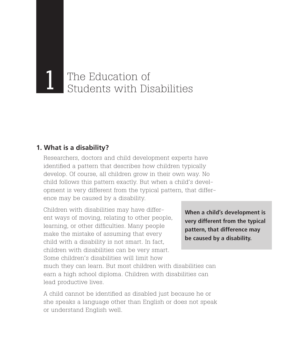# The Education of<br>Students with Disabilities

# **1. What is a disability?**

lead productive lives.

Researchers, doctors and child development experts have identified a pattern that describes how children typically develop. Of course, all children grow in their own way. No child follows this pattern exactly. But when a child's development is very different from the typical pattern, that difference may be caused by a disability.

Children with disabilities may have different ways of moving, relating to other people, learning, or other difficulties. Many people make the mistake of assuming that every child with a disability is not smart. In fact, children with disabilities can be very smart. Some children's disabilities will limit how much they can learn. But most children with disabilities can earn a high school diploma. Children with disabilities can

A child cannot be identified as disabled just because he or she speaks a language other than English or does not speak or understand English well.

**When a child's development is very different from the typical pattern, that difference may be caused by a disability.**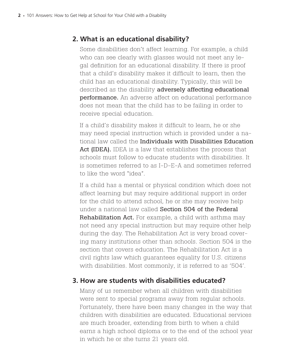# **2. What is an educational disability?**

Some disabilities don't affect learning. For example, a child who can see clearly with glasses would not meet any legal definition for an educational disability. If there is proof that a child's disability makes it difficult to learn, then the child has an educational disability. Typically, this will be described as the disability adversely affecting educational performance. An adverse affect on educational performance does not mean that the child has to be failing in order to receive special education.

If a child's disability makes it difficult to learn, he or she may need special instruction which is provided under a national law called the Individuals with Disabilities Education Act (IDEA). IDEA is a law that establishes the process that schools must follow to educate students with disabilities. It is sometimes referred to as I-D-E-A and sometimes referred to like the word "idea".

If a child has a mental or physical condition which does not affect learning but may require additional support in order for the child to attend school, he or she may receive help under a national law called Section 504 of the Federal Rehabilitation Act. For example, a child with asthma may not need any special instruction but may require other help during the day. The Rehabilitation Act is very broad covering many institutions other than schools. Section 504 is the section that covers education. The Rehabilitation Act is a civil rights law which guarantees equality for U.S. citizens with disabilities. Most commonly, it is referred to as '504'.

#### **3. How are students with disabilities educated?**

Many of us remember when all children with disabilities were sent to special programs away from regular schools. Fortunately, there have been many changes in the way that children with disabilities are educated. Educational services are much broader, extending from birth to when a child earns a high school diploma or to the end of the school year in which he or she turns 21 years old.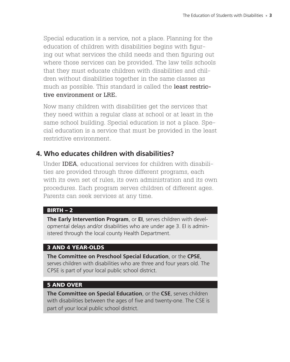Special education is a service, not a place. Planning for the education of children with disabilities begins with figuring out what services the child needs and then figuring out where those services can be provided. The law tells schools that they must educate children with disabilities and children without disabilities together in the same classes as much as possible. This standard is called the least restrictive environment or LRE.

Now many children with disabilities get the services that they need within a regular class at school or at least in the same school building. Special education is not a place. Special education is a service that must be provided in the least restrictive environment.

#### **4. Who educates children with disabilities?**

Under IDEA, educational services for children with disabilities are provided through three different programs, each with its own set of rules, its own administration and its own procedures. Each program serves children of different ages. Parents can seek services at any time.

#### $BIRTH - 2$

**The Early Intervention Program**, or **EI**, serves children with developmental delays and/or disabilities who are under age 3. EI is administered through the local county Health Department.

#### 3 and 4 year-olds

**The Committee on Preschool Special Education**, or the **CPSE**, serves children with disabilities who are three and four years old. The CPSE is part of your local public school district.

#### 5 and over

**The Committee on Special Education**, or the **CSE**, serves children with disabilities between the ages of five and twenty-one. The CSE is part of your local public school district.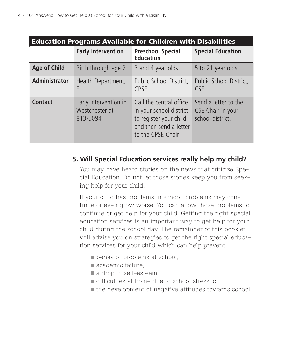| <b>Education Programs Available for Children with Disabilities</b> |                                                     |                                                                                                                             |                                                               |
|--------------------------------------------------------------------|-----------------------------------------------------|-----------------------------------------------------------------------------------------------------------------------------|---------------------------------------------------------------|
|                                                                    | <b>Early Intervention</b>                           | <b>Preschool Special</b><br><b>Education</b>                                                                                | <b>Special Education</b>                                      |
| <b>Age of Child</b>                                                | Birth through age 2                                 | 3 and 4 year olds                                                                                                           | 5 to 21 year olds                                             |
| <b>Administrator</b>                                               | Health Department,<br>EI                            | Public School District,<br><b>CPSE</b>                                                                                      | Public School District,<br><b>CSE</b>                         |
| <b>Contact</b>                                                     | Early Intervention in<br>Westchester at<br>813-5094 | Call the central office<br>in your school district<br>to register your child<br>and then send a letter<br>to the CPSE Chair | Send a letter to the<br>CSE Chair in your<br>school district. |

# **5. Will Special Education services really help my child?**

You may have heard stories on the news that criticize Special Education. Do not let those stories keep you from seeking help for your child.

If your child has problems in school, problems may continue or even grow worse. You can allow those problems to continue or get help for your child. Getting the right special education services is an important way to get help for your child during the school day. The remainder of this booklet will advise you on strategies to get the right special education services for your child which can help prevent:

- behavior problems at school,
- academic failure,
- a drop in self-esteem,
- difficulties at home due to school stress, or
- the development of negative attitudes towards school.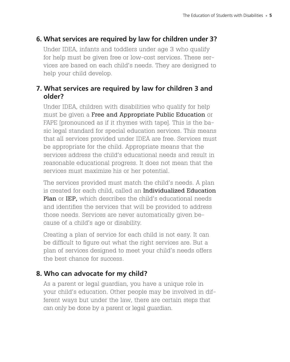# **6. What services are required by law for children under 3?**

Under IDEA, infants and toddlers under age 3 who qualify for help must be given free or low-cost services. These services are based on each child's needs. They are designed to help your child develop.

# **7. What services are required by law for children 3 and older?**

Under IDEA, children with disabilities who qualify for help must be given a Free and Appropriate Public Education or FAPE [pronounced as if it rhymes with tape]. This is the basic legal standard for special education services. This means that all services provided under IDEA are free. Services must be appropriate for the child. Appropriate means that the services address the child's educational needs and result in reasonable educational progress. It does not mean that the services must maximize his or her potential.

The services provided must match the child's needs. A plan is created for each child, called an Individualized Education Plan or IEP, which describes the child's educational needs and identifies the services that will be provided to address those needs. Services are never automatically given because of a child's age or disability.

Creating a plan of service for each child is not easy. It can be difficult to figure out what the right services are. But a plan of services designed to meet your child's needs offers the best chance for success.

# **8. Who can advocate for my child?**

As a parent or legal guardian, you have a unique role in your child's education. Other people may be involved in different ways but under the law, there are certain steps that can only be done by a parent or legal guardian.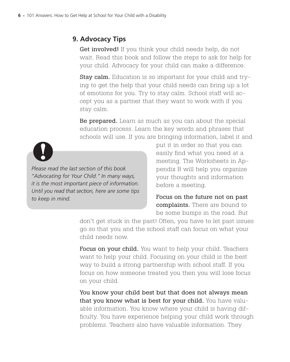# **9. Advocacy Tips**

Get involved! If you think your child needs help, do not wait. Read this book and follow the steps to ask for help for your child. Advocacy for your child can make a difference.

Stay calm. Education is so important for your child and trying to get the help that your child needs can bring up a lot of emotions for you. Try to stay calm. School staff will accept you as a partner that they want to work with if you stay calm.

Be prepared. Learn as much as you can about the special education process. Learn the key words and phrases that schools will use. If you are bringing information, label it and



*Please read the last section of this book "Advocating for Your Child." In many ways, it is the most important piece of information. Until you read that section, here are some tips to keep in mind.*

put it in order so that you can easily find what you need at a meeting. The Worksheets in Appendix B will help you organize your thoughts and information before a meeting.

Focus on the future not on past complaints. There are bound to be some bumps in the road. But

don't get stuck in the past! Often, you have to let past issues go so that you and the school staff can focus on what your child needs now.

Focus on your child. You want to help your child. Teachers want to help your child. Focusing on your child is the best way to build a strong partnership with school staff. If you focus on how someone treated you then you will lose focus on your child.

You know your child best but that does not always mean that you know what is best for your child. You have valuable information. You know where your child is having difficulty. You have experience helping your child work through problems. Teachers also have valuable information. They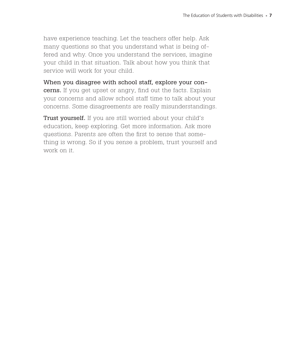have experience teaching. Let the teachers offer help. Ask many questions so that you understand what is being offered and why. Once you understand the services, imagine your child in that situation. Talk about how you think that service will work for your child.

When you disagree with school staff, explore your concerns. If you get upset or angry, find out the facts. Explain your concerns and allow school staff time to talk about your concerns. Some disagreements are really misunderstandings.

Trust yourself. If you are still worried about your child's education, keep exploring. Get more information. Ask more questions. Parents are often the first to sense that something is wrong. So if you sense a problem, trust yourself and work on it.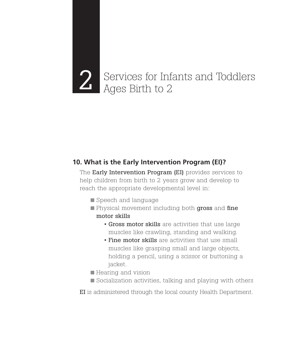# Services for Infants and Toddlers<br>Ages Birth to 2

# **10. What is the Early Intervention Program (EI)?**

The Early Intervention Program (EI) provides services to help children from birth to 2 years grow and develop to reach the appropriate developmental level in:

- Speech and language
- Physical movement including both gross and fine motor skills
	- Gross motor skills are activities that use large muscles like crawling, standing and walking.
	- Fine motor skills are activities that use small muscles like grasping small and large objects, holding a pencil, using a scissor or buttoning a jacket.
- Hearing and vision
- Socialization activities, talking and playing with others

EI is administered through the local county Health Department.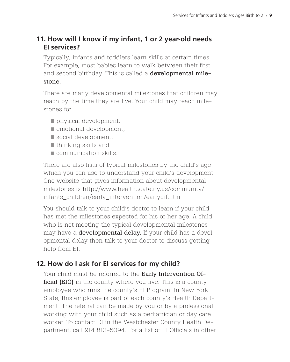# **11. How will I know if my infant, 1 or 2 year-old needs EI services?**

Typically, infants and toddlers learn skills at certain times. For example, most babies learn to walk between their first and second birthday. This is called a developmental milestone.

There are many developmental milestones that children may reach by the time they are five. Your child may reach milestones for

- physical development,
- **E** emotional development,
- social development,
- thinking skills and
- **Communication skills.**

There are also lists of typical milestones by the child's age which you can use to understand your child's development. One website that gives information about developmental milestones is http://www.health.state.ny.us/community/ infants\_children/early\_intervention/earlydif.htm

You should talk to your child's doctor to learn if your child has met the milestones expected for his or her age. A child who is not meeting the typical developmental milestones may have a **developmental delay.** If your child has a developmental delay then talk to your doctor to discuss getting help from EI.

# **12. How do I ask for EI services for my child?**

Your child must be referred to the Early Intervention Official (EIO) in the county where you live. This is a county employee who runs the county's EI Program. In New York State, this employee is part of each county's Health Department. The referral can be made by you or by a professional working with your child such as a pediatrician or day care worker. To contact EI in the Westchester County Health Department, call 914 813-5094. For a list of EI Officials in other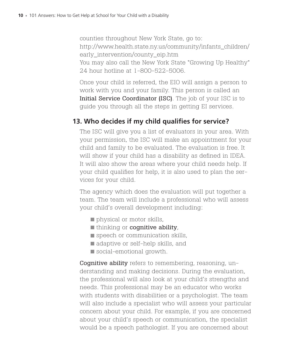counties throughout New York State, go to: http://www.health.state.ny.us/community/infants\_children/ early\_intervention/county\_eip.htm You may also call the New York State "Growing Up Healthy" 24 hour hotline at 1-800-522-5006.

Once your child is referred, the EIO will assign a person to work with you and your family. This person is called an Initial Service Coordinator (ISC). The job of your ISC is to guide you through all the steps in getting EI services.

# **13. Who decides if my child qualifies for service?**

The ISC will give you a list of evaluators in your area. With your permission, the ISC will make an appointment for your child and family to be evaluated. The evaluation is free. It will show if your child has a disability as defined in IDEA. It will also show the areas where your child needs help. If your child qualifies for help, it is also used to plan the services for your child.

The agency which does the evaluation will put together a team. The team will include a professional who will assess your child's overall development including:

- physical or motor skills,
- thinking or **cognitive ability**,
- speech or communication skills,
- adaptive or self-help skills, and
- social-emotional growth.

Cognitive ability refers to remembering, reasoning, understanding and making decisions. During the evaluation, the professional will also look at your child's strengths and needs. This professional may be an educator who works with students with disabilities or a psychologist. The team will also include a specialist who will assess your particular concern about your child. For example, if you are concerned about your child's speech or communication, the specialist would be a speech pathologist. If you are concerned about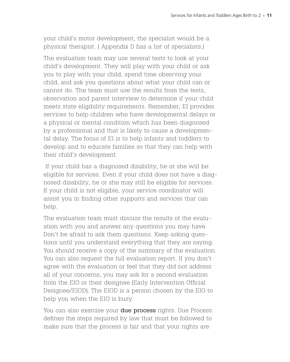your child's motor development, the specialist would be a physical therapist. ( Appendix D has a list of specialists.)

The evaluation team may use several tests to look at your child's development. They will play with your child or ask you to play with your child, spend time observing your child, and ask you questions about what your child can or cannot do. The team must use the results from the tests, observation and parent interview to determine if your child meets state eligibility requirements. Remember, EI provides services to help children who have developmental delays or a physical or mental condition which has been diagnosed by a professional and that is likely to cause a developmental delay. The focus of EI is to help infants and toddlers to develop and to educate families so that they can help with their child's development.

If your child has a diagnosed disability, he or she will be eligible for services. Even if your child does not have a diagnosed disability, he or she may still be eligible for services. If your child is not eligible, your service coordinator will assist you in finding other supports and services that can help.

The evaluation team must discuss the results of the evaluation with you and answer any questions you may have. Don't be afraid to ask them questions. Keep asking questions until you understand everything that they are saying. You should receive a copy of the summary of the evaluation. You can also request the full evaluation report. If you don't agree with the evaluation or feel that they did not address all of your concerns, you may ask for a second evaluation from the EIO or their designee (Early Intervention Official Designee/EIOD). The EIOD is a person chosen by the EIO to help you when the EIO is busy.

You can also exercise your **due process** rights. Due Process defines the steps required by law that must be followed to make sure that the process is fair and that your rights are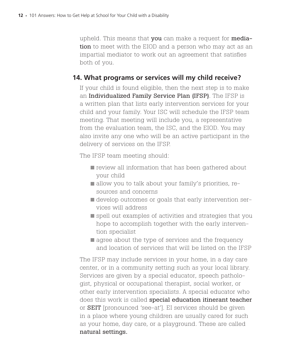upheld. This means that you can make a request for mediation to meet with the EIOD and a person who may act as an impartial mediator to work out an agreement that satisfies both of you.

#### **14. What programs or services will my child receive?**

If your child is found eligible, then the next step is to make an Individualized Family Service Plan (IFSP). The IFSP is a written plan that lists early intervention services for your child and your family. Your ISC will schedule the IFSP team meeting. That meeting will include you, a representative from the evaluation team, the ISC, and the EIOD. You may also invite any one who will be an active participant in the delivery of services on the IFSP.

The IFSP team meeting should:

- **review all information that has been gathered about** your child
- allow you to talk about your family's priorities, resources and concerns
- develop outcomes or goals that early intervention services will address
- spell out examples of activities and strategies that you hope to accomplish together with the early intervention specialist
- **agree about the type of services and the frequency** and location of services that will be listed on the IFSP

The IFSP may include services in your home, in a day care center, or in a community setting such as your local library. Services are given by a special educator, speech pathologist, physical or occupational therapist, social worker, or other early intervention specialists. A special educator who does this work is called special education itinerant teacher or SEIT [pronounced 'see-at']. EI services should be given in a place where young children are usually cared for such as your home, day care, or a playground. These are called natural settings.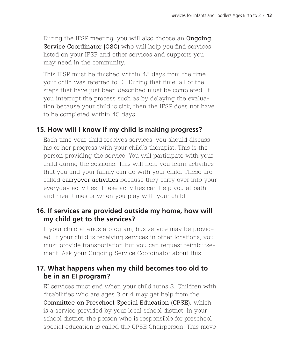During the IFSP meeting, you will also choose an **Ongoing** Service Coordinator (OSC) who will help you find services listed on your IFSP and other services and supports you may need in the community.

This IFSP must be finished within 45 days from the time your child was referred to EI. During that time, all of the steps that have just been described must be completed. If you interrupt the process such as by delaying the evaluation because your child is sick, then the IFSP does not have to be completed within 45 days.

# **15. How will I know if my child is making progress?**

Each time your child receives services, you should discuss his or her progress with your child's therapist. This is the person providing the service. You will participate with your child during the sessions. This will help you learn activities that you and your family can do with your child. These are called **carryover activities** because they carry over into your everyday activities. These activities can help you at bath and meal times or when you play with your child.

#### **16. If services are provided outside my home, how will my child get to the services?**

If your child attends a program, bus service may be provided. If your child is receiving services in other locations, you must provide transportation but you can request reimbursement. Ask your Ongoing Service Coordinator about this.

#### **17. What happens when my child becomes too old to be in an EI program?**

EI services must end when your child turns 3. Children with disabilities who are ages 3 or 4 may get help from the Committee on Preschool Special Education (CPSE), which is a service provided by your local school district. In your school district, the person who is responsible for preschool special education is called the CPSE Chairperson. This move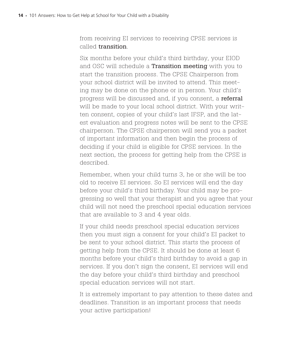from receiving EI services to receiving CPSE services is called transition.

Six months before your child's third birthday, your EIOD and OSC will schedule a Transition meeting with you to start the transition process. The CPSE Chairperson from your school district will be invited to attend. This meeting may be done on the phone or in person. Your child's progress will be discussed and, if you consent, a referral will be made to your local school district. With your written consent, copies of your child's last IFSP, and the latest evaluation and progress notes will be sent to the CPSE chairperson. The CPSE chairperson will send you a packet of important information and then begin the process of deciding if your child is eligible for CPSE services. In the next section, the process for getting help from the CPSE is described.

Remember, when your child turns 3, he or she will be too old to receive EI services. So EI services will end the day before your child's third birthday. Your child may be progressing so well that your therapist and you agree that your child will not need the preschool special education services that are available to 3 and 4 year olds.

If your child needs preschool special education services then you must sign a consent for your child's EI packet to be sent to your school district. This starts the process of getting help from the CPSE. It should be done at least 6 months before your child's third birthday to avoid a gap in services. If you don't sign the consent, EI services will end the day before your child's third birthday and preschool special education services will not start.

It is extremely important to pay attention to these dates and deadlines. Transition is an important process that needs your active participation!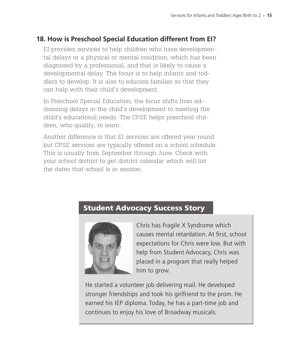# **18. How is Preschool Special Education different from EI?**

EI provides services to help children who have developmental delays or a physical or mental condition, which has been diagnosed by a professional, and that is likely to cause a developmental delay. The focus is to help infants and toddlers to develop. It is also to educate families so that they can help with their child's development.

In Preschool Special Education, the focus shifts from addressing delays in the child's development to meeting the child's educational needs. The CPSE helps preschool children, who qualify, to learn.

Another difference is that EI services are offered year round but CPSE services are typically offered on a school schedule. This is usually from September through June. Check with your school district to get district calendar which will list the dates that school is in session.

# Student Advocacy Success Story



Chris has Fragile X Syndrome which causes mental retardation. At first, school expectations for Chris were low. But with help from Student Advocacy, Chris was placed in a program that really helped him to grow.

He started a volunteer job delivering mail. He developed stronger friendships and took his girlfriend to the prom. He earned his IEP diploma. Today, he has a part-time job and continues to enjoy his love of Broadway musicals.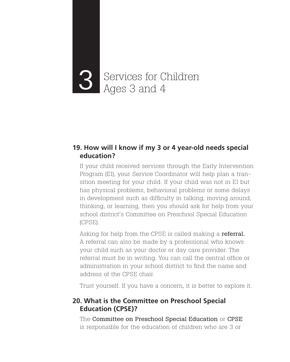# Services for Children 3 Ages 3 and 4

#### **19. How will I know if my 3 or 4 year-old needs special education?**

If your child received services through the Early Intervention Program (EI), your Service Coordinator will help plan a transition meeting for your child. If your child was not in EI but has physical problems, behavioral problems or some delays in development such as difficulty in talking, moving around, thinking, or learning, then you should ask for help from your school district's Committee on Preschool Special Education (CPSE).

Asking for help from the CPSE is called making a **referral.** A referral can also be made by a professional who knows your child such as your doctor or day care provider. The referral must be in writing. You can call the central office or administration in your school district to find the name and address of the CPSE chair.

Trust yourself. If you have a concern, it is better to explore it.

# **20. What is the Committee on Preschool Special Education (CPSE)?**

The Committee on Preschool Special Education or CPSE is responsible for the education of children who are 3 or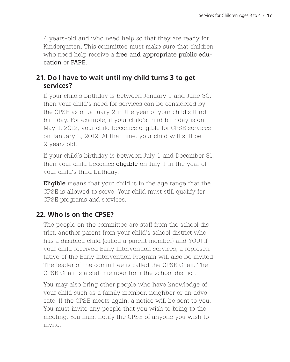4 years-old and who need help so that they are ready for Kindergarten. This committee must make sure that children who need help receive a free and appropriate public education or FAPE.

# **21. Do I have to wait until my child turns 3 to get services?**

If your child's birthday is between January 1 and June 30, then your child's need for services can be considered by the CPSE as of January 2 in the year of your child's third birthday. For example, if your child's third birthday is on May 1, 2012, your child becomes eligible for CPSE services on January 2, 2012. At that time, your child will still be 2 years old.

If your child's birthday is between July 1 and December 31, then your child becomes **eligible** on July  $1$  in the year of your child's third birthday.

Eligible means that your child is in the age range that the CPSE is allowed to serve. Your child must still qualify for CPSE programs and services.

# **22. Who is on the CPSE?**

The people on the committee are staff from the school district, another parent from your child's school district who has a disabled child (called a parent member) and YOU! If your child received Early Intervention services, a representative of the Early Intervention Program will also be invited. The leader of the committee is called the CPSE Chair. The CPSE Chair is a staff member from the school district.

You may also bring other people who have knowledge of your child such as a family member, neighbor or an advocate. If the CPSE meets again, a notice will be sent to you. You must invite any people that you wish to bring to the meeting. You must notify the CPSE of anyone you wish to invite.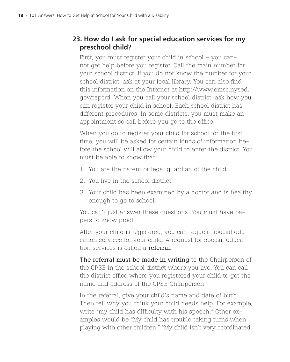# **23. How do I ask for special education services for my preschool child?**

First, you must register your child in school – you cannot get help before you register. Call the main number for your school district. If you do not know the number for your school district, ask at your local library. You can also find this information on the Internet at http://www.emsc.nysed. gov/repcrd. When you call your school district, ask how you can register your child in school. Each school district has different procedures. In some districts, you must make an appointment so call before you go to the office.

When you go to register your child for school for the first time, you will be asked for certain kinds of information before the school will allow your child to enter the district. You must be able to show that:

- 1. You are the parent or legal guardian of the child.
- 2. You live in the school district.
- 3. Your child has been examined by a doctor and is healthy enough to go to school.

You can't just answer these questions. You must have papers to show proof.

After your child is registered, you can request special education services for your child. A request for special education services is called a referral.

The referral must be made in writing to the Chairperson of the CPSE in the school district where you live. You can call the district office where you registered your child to get the name and address of the CPSE Chairperson.

In the referral, give your child's name and date of birth. Then tell why you think your child needs help. For example, write "my child has difficulty with his speech." Other examples would be "My child has trouble taking turns when playing with other children." "My child isn't very coordinated.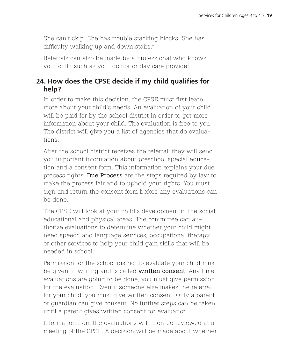She can't skip. She has trouble stacking blocks. She has difficulty walking up and down stairs."

Referrals can also be made by a professional who knows your child such as your doctor or day care provider.

# **24. How does the CPSE decide if my child qualifies for help?**

In order to make this decision, the CPSE must first learn more about your child's needs. An evaluation of your child will be paid for by the school district in order to get more information about your child. The evaluation is free to you. The district will give you a list of agencies that do evaluations.

After the school district receives the referral, they will send you important information about preschool special education and a consent form. This information explains your due process rights. Due Process are the steps required by law to make the process fair and to uphold your rights. You must sign and return the consent form before any evaluations can be done.

The CPSE will look at your child's development in the social, educational and physical areas. The committee can authorize evaluations to determine whether your child might need speech and language services, occupational therapy or other services to help your child gain skills that will be needed in school.

Permission for the school district to evaluate your child must be given in writing and is called **written consent**. Any time evaluations are going to be done, you must give permission for the evaluation. Even if someone else makes the referral for your child, you must give written consent. Only a parent or guardian can give consent. No further steps can be taken until a parent gives written consent for evaluation.

Information from the evaluations will then be reviewed at a meeting of the CPSE. A decision will be made about whether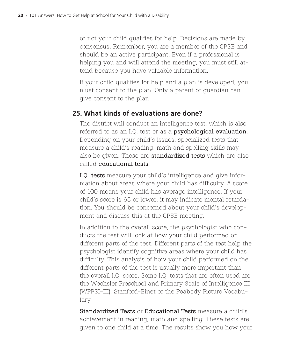or not your child qualifies for help. Decisions are made by consensus. Remember, you are a member of the CPSE and should be an active participant. Even if a professional is helping you and will attend the meeting, you must still attend because you have valuable information.

If your child qualifies for help and a plan is developed, you must consent to the plan. Only a parent or guardian can give consent to the plan.

# **25. What kinds of evaluations are done?**

The district will conduct an intelligence test, which is also referred to as an I.Q. test or as a **psychological evaluation**. Depending on your child's issues, specialized tests that measure a child's reading, math and spelling skills may also be given. These are **standardized tests** which are also called educational tests.

I.Q. tests measure your child's intelligence and give information about areas where your child has difficulty. A score of 100 means your child has average intelligence. If your child's score is 65 or lower, it may indicate mental retardation. You should be concerned about your child's development and discuss this at the CPSE meeting.

In addition to the overall score, the psychologist who conducts the test will look at how your child performed on different parts of the test. Different parts of the test help the psychologist identify cognitive areas where your child has difficulty. This analysis of how your child performed on the different parts of the test is usually more important than the overall I.Q. score. Some I.Q. tests that are often used are the Wechsler Preschool and Primary Scale of Intelligence III (WPPSI-III), Stanford-Binet or the Peabody Picture Vocabulary.

Standardized Tests or Educational Tests measure a child's achievement in reading, math and spelling. These tests are given to one child at a time. The results show you how your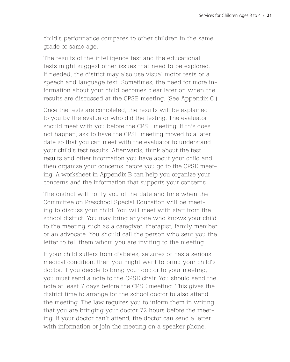child's performance compares to other children in the same grade or same age.

The results of the intelligence test and the educational tests might suggest other issues that need to be explored. If needed, the district may also use visual motor tests or a speech and language test. Sometimes, the need for more information about your child becomes clear later on when the results are discussed at the CPSE meeting. (See Appendix C.)

Once the tests are completed, the results will be explained to you by the evaluator who did the testing. The evaluator should meet with you before the CPSE meeting. If this does not happen, ask to have the CPSE meeting moved to a later date so that you can meet with the evaluator to understand your child's test results. Afterwards, think about the test results and other information you have about your child and then organize your concerns before you go to the CPSE meeting. A worksheet in Appendix B can help you organize your concerns and the information that supports your concerns.

The district will notify you of the date and time when the Committee on Preschool Special Education will be meeting to discuss your child. You will meet with staff from the school district. You may bring anyone who knows your child to the meeting such as a caregiver, therapist, family member or an advocate. You should call the person who sent you the letter to tell them whom you are inviting to the meeting.

If your child suffers from diabetes, seizures or has a serious medical condition, then you might want to bring your child's doctor. If you decide to bring your doctor to your meeting, you must send a note to the CPSE chair. You should send the note at least 7 days before the CPSE meeting. This gives the district time to arrange for the school doctor to also attend the meeting. The law requires you to inform them in writing that you are bringing your doctor 72 hours before the meeting. If your doctor can't attend, the doctor can send a letter with information or join the meeting on a speaker phone.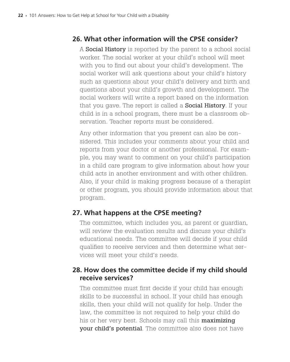# **26. What other information will the CPSE consider?**

A **Social History** is reported by the parent to a school social worker. The social worker at your child's school will meet with you to find out about your child's development. The social worker will ask questions about your child's history such as questions about your child's delivery and birth and questions about your child's growth and development. The social workers will write a report based on the information that you gave. The report is called a **Social History**. If your child is in a school program, there must be a classroom observation. Teacher reports must be considered.

Any other information that you present can also be considered. This includes your comments about your child and reports from your doctor or another professional. For example, you may want to comment on your child's participation in a child care program to give information about how your child acts in another environment and with other children. Also, if your child is making progress because of a therapist or other program, you should provide information about that program.

#### **27. What happens at the CPSE meeting?**

The committee, which includes you, as parent or guardian, will review the evaluation results and discuss your child's educational needs. The committee will decide if your child qualifies to receive services and then determine what services will meet your child's needs.

# **28. How does the committee decide if my child should receive services?**

The committee must first decide if your child has enough skills to be successful in school. If your child has enough skills, then your child will not qualify for help. Under the law, the committee is not required to help your child do his or her very best. Schools may call this **maximizing** your child's potential. The committee also does not have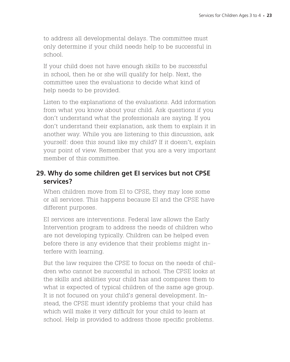to address all developmental delays. The committee must only determine if your child needs help to be successful in school.

If your child does not have enough skills to be successful in school, then he or she will qualify for help. Next, the committee uses the evaluations to decide what kind of help needs to be provided.

Listen to the explanations of the evaluations. Add information from what you know about your child. Ask questions if you don't understand what the professionals are saying. If you don't understand their explanation, ask them to explain it in another way. While you are listening to this discussion, ask yourself: does this sound like my child? If it doesn't, explain your point of view. Remember that you are a very important member of this committee.

#### **29. Why do some children get EI services but not CPSE services?**

When children move from EI to CPSE, they may lose some or all services. This happens because EI and the CPSE have different purposes.

EI services are interventions. Federal law allows the Early Intervention program to address the needs of children who are not developing typically. Children can be helped even before there is any evidence that their problems might interfere with learning.

But the law requires the CPSE to focus on the needs of children who cannot be successful in school. The CPSE looks at the skills and abilities your child has and compares them to what is expected of typical children of the same age group. It is not focused on your child's general development. Instead, the CPSE must identify problems that your child has which will make it very difficult for your child to learn at school. Help is provided to address those specific problems.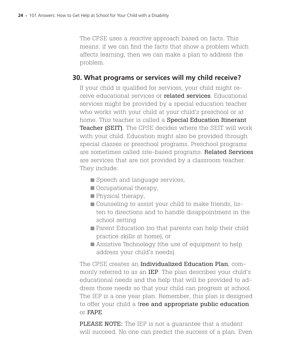The CPSE uses a *reactive* approach based on facts. This means: if we can find the facts that show a problem which affects learning, then we can make a plan to address the problem.

#### **30. What programs or services will my child receive?**

If your child is qualified for services, your child might receive educational services or related services. Educational services might be provided by a special education teacher who works with your child at your child's preschool or at home. This teacher is called a **Special Education Itinerant** Teacher (SEIT). The CPSE decides where the SEIT will work with your child. Education might also be provided through special classes or preschool programs. Preschool programs are sometimes called site-based programs. Related Services are services that are not provided by a classroom teacher. They include:

- Speech and language services,
- Occupational therapy,
- **Physical therapy,**
- Counseling to assist your child to make friends, listen to directions and to handle disappointment in the school setting
- **Parent Education (so that parents can help their child** practice skills at home), or
- Assistive Technology (the use of equipment to help address your child's needs).

The CPSE creates an **Individualized Education Plan**, commonly referred to as an IEP. The plan describes your child's educational needs and the help that will be provided to address those needs so that your child can progress at school. The IEP is a one year plan. Remember, this plan is designed to offer your child a free and appropriate public education or FAPE.

PLEASE NOTE: The IEP is not a guarantee that a student will succeed. No one can predict the success of a plan. Even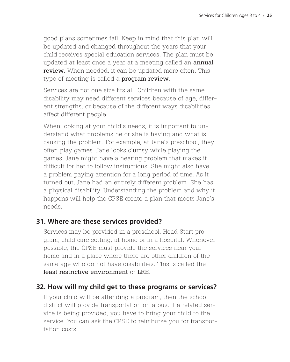good plans sometimes fail. Keep in mind that this plan will be updated and changed throughout the years that your child receives special education services. The plan must be updated at least once a year at a meeting called an **annual** review. When needed, it can be updated more often. This type of meeting is called a **program review**.

Services are not one size fits all. Children with the same disability may need different services because of age, different strengths, or because of the different ways disabilities affect different people.

When looking at your child's needs, it is important to understand what problems he or she is having and what is causing the problem. For example, at Jane's preschool, they often play games. Jane looks clumsy while playing the games. Jane might have a hearing problem that makes it difficult for her to follow instructions. She might also have a problem paying attention for a long period of time. As it turned out, Jane had an entirely different problem. She has a physical disability. Understanding the problem and why it happens will help the CPSE create a plan that meets Jane's needs.

# **31. Where are these services provided?**

Services may be provided in a preschool, Head Start program, child care setting, at home or in a hospital. Whenever possible, the CPSE must provide the services near your home and in a place where there are other children of the same age who do not have disabilities. This is called the least restrictive environment or LRE.

#### **32. How will my child get to these programs or services?**

If your child will be attending a program, then the school district will provide transportation on a bus. If a related service is being provided, you have to bring your child to the service. You can ask the CPSE to reimburse you for transportation costs.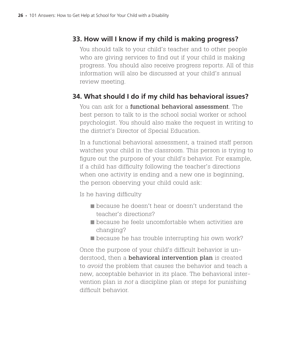# **33. How will I know if my child is making progress?**

You should talk to your child's teacher and to other people who are giving services to find out if your child is making progress. You should also receive progress reports. All of this information will also be discussed at your child's annual review meeting.

# **34. What should I do if my child has behavioral issues?**

You can ask for a functional behavioral assessment. The best person to talk to is the school social worker or school psychologist. You should also make the request in writing to the district's Director of Special Education.

In a functional behavioral assessment, a trained staff person watches your child in the classroom. This person is trying to figure out the purpose of your child's behavior. For example, if a child has difficulty following the teacher's directions when one activity is ending and a new one is beginning, the person observing your child could ask:

Is he having difficulty

- **Exercise** he doesn't hear or doesn't understand the teacher's directions?
- **E** because he feels uncomfortable when activities are changing?
- **Decause he has trouble interrupting his own work?**

Once the purpose of your child's difficult behavior is understood, then a **behavioral intervention plan** is created to *avoid* the problem that causes the behavior and teach a new, acceptable behavior in its place. The behavioral intervention plan is *not* a discipline plan or steps for punishing difficult behavior.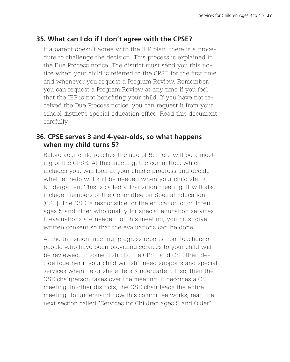# **35. What can I do if I don't agree with the CPSE?**

If a parent doesn't agree with the IEP plan, there is a procedure to challenge the decision. This process is explained in the Due Process notice. The district must send you this notice when your child is referred to the CPSE for the first time and whenever you request a Program Review. Remember, you can request a Program Review at any time if you feel that the IEP is not benefiting your child. If you have not received the Due Process notice, you can request it from your school district's special education office. Read this document carefully.

# **36. CPSE serves 3 and 4-year-olds, so what happens when my child turns 5?**

Before your child reaches the age of 5, there will be a meeting of the CPSE. At this meeting, the committee, which includes you, will look at your child's progress and decide whether help will still be needed when your child starts Kindergarten. This is called a Transition meeting. It will also include members of the Committee on Special Education (CSE). The CSE is responsible for the education of children ages 5 and older who qualify for special education services. If evaluations are needed for this meeting, you must give written consent so that the evaluations can be done.

At the transition meeting, progress reports from teachers or people who have been providing services to your child will be reviewed. In some districts, the CPSE and CSE then decide together if your child will still need supports and special services when he or she enters Kindergarten. If so, then the CSE chairperson takes over the meeting. It becomes a CSE meeting. In other districts, the CSE chair leads the entire meeting. To understand how this committee works, read the next section called "Services for Children ages 5 and Older".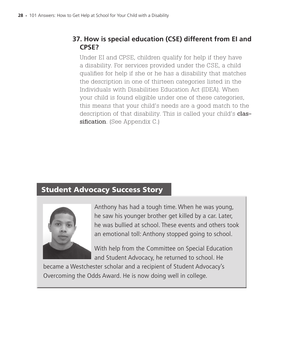# **37. How is special education (CSE) different from EI and CPSE?**

Under EI and CPSE, children qualify for help if they have a disability. For services provided under the CSE, a child qualifies for help if she or he has a disability that matches the description in one of thirteen categories listed in the Individuals with Disabilities Education Act (IDEA). When your child is found eligible under one of these categories, this means that your child's needs are a good match to the description of that disability. This is called your child's classification. (See Appendix C.)

# Student Advocacy Success Story



Anthony has had a tough time. When he was young, he saw his younger brother get killed by a car. Later, he was bullied at school. These events and others took an emotional toll: Anthony stopped going to school.

With help from the Committee on Special Education and Student Advocacy, he returned to school. He

became a Westchester scholar and a recipient of Student Advocacy's Overcoming the Odds Award. He is now doing well in college.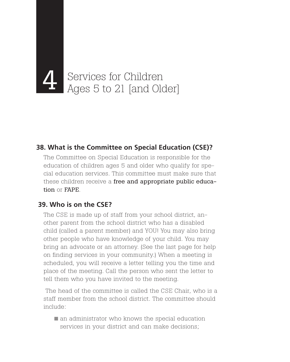

# **38. What is the Committee on Special Education (CSE)?**

The Committee on Special Education is responsible for the education of children ages 5 and older who qualify for special education services. This committee must make sure that these children receive a free and appropriate public education or FAPE.

# **39. Who is on the CSE?**

The CSE is made up of staff from your school district, another parent from the school district who has a disabled child (called a parent member) and YOU! You may also bring other people who have knowledge of your child. You may bring an advocate or an attorney. (See the last page for help on finding services in your community.) When a meeting is scheduled, you will receive a letter telling you the time and place of the meeting. Call the person who sent the letter to tell them who you have invited to the meeting.

 The head of the committee is called the CSE Chair, who is a staff member from the school district. The committee should include:

 $\blacksquare$  an administrator who knows the special education services in your district and can make decisions;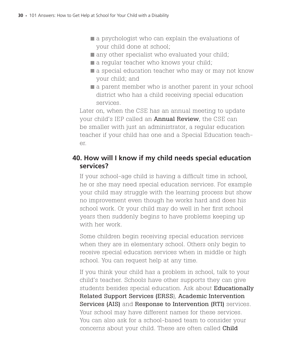- **a** a psychologist who can explain the evaluations of your child done at school;
- any other specialist who evaluated your child;
- a regular teacher who knows your child;
- $\blacksquare$  a special education teacher who may or may not know your child; and
- a parent member who is another parent in your school district who has a child receiving special education services.

Later on, when the CSE has an annual meeting to update your child's IEP called an **Annual Review**, the CSE can be smaller with just an administrator, a regular education teacher if your child has one and a Special Education teacher.

# **40. How will I know if my child needs special education services?**

If your school-age child is having a difficult time in school, he or she may need special education services. For example your child may struggle with the learning process but show no improvement even though he works hard and does his school work. Or your child may do well in her first school years then suddenly begins to have problems keeping up with her work.

Some children begin receiving special education services when they are in elementary school. Others only begin to receive special education services when in middle or high school. You can request help at any time.

If you think your child has a problem in school, talk to your child's teacher. Schools have other supports they can give students besides special education. Ask about Educationally Related Support Services (ERSS), Academic Intervention Services (AIS) and Response to Intervention (RTI) services. Your school may have different names for these services. You can also ask for a school-based team to consider your concerns about your child. These are often called Child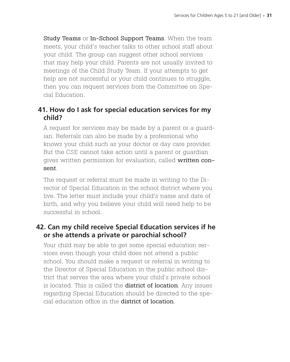Study Teams or In-School Support Teams. When the team meets, your child's teacher talks to other school staff about your child. The group can suggest other school services that may help your child. Parents are not usually invited to meetings of the Child Study Team. If your attempts to get help are not successful or your child continues to struggle, then you can request services from the Committee on Special Education.

# **41. How do I ask for special education services for my child?**

A request for services may be made by a parent or a guardian. Referrals can also be made by a professional who knows your child such as your doctor or day care provider. But the CSE cannot take action until a parent or guardian gives written permission for evaluation, called written consent.

The request or referral must be made in writing to the Director of Special Education in the school district where you live. The letter must include your child's name and date of birth, and why you believe your child will need help to be successful in school.

# **42. Can my child receive Special Education services if he or she attends a private or parochial school?**

Your child may be able to get some special education services even though your child does not attend a public school. You should make a request or referral in writing to the Director of Special Education in the public school district that serves the area where your child's private school is located. This is called the **district of location**. Any issues regarding Special Education should be directed to the special education office in the district of location.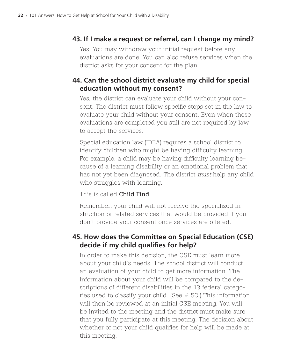# **43. If I make a request or referral, can I change my mind?**

Yes. You may withdraw your initial request before any evaluations are done. You can also refuse services when the district asks for your consent for the plan.

# **44. Can the school district evaluate my child for special education without my consent?**

Yes, the district can evaluate your child without your consent. The district must follow specific steps set in the law to evaluate your child without your consent. Even when these evaluations are completed you still are not required by law to accept the services.

Special education law (IDEA) requires a school district to identify children who might be having difficulty learning. For example, a child may be having difficulty learning because of a learning disability or an emotional problem that has not yet been diagnosed. The district *must* help any child who struggles with learning.

#### This is called Child Find.

Remember, your child will not receive the specialized instruction or related services that would be provided if you don't provide your consent once services are offered.

# **45. How does the Committee on Special Education (CSE) decide if my child qualifies for help?**

In order to make this decision, the CSE must learn more about your child's needs. The school district will conduct an evaluation of your child to get more information. The information about your child will be compared to the descriptions of different disabilities in the 13 federal categories used to classify your child. (See # 50.) This information will then be reviewed at an initial CSE meeting. You will be invited to the meeting and the district must make sure that you fully participate at this meeting. The decision about whether or not your child qualifies for help will be made at this meeting.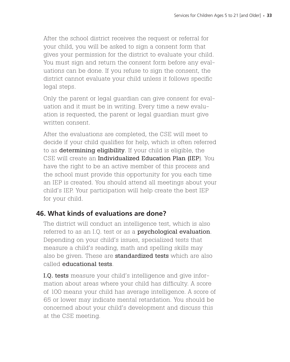After the school district receives the request or referral for your child, you will be asked to sign a consent form that gives your permission for the district to evaluate your child. You must sign and return the consent form before any evaluations can be done. If you refuse to sign the consent, the district cannot evaluate your child unless it follows specific legal steps.

Only the parent or legal guardian can give consent for evaluation and it must be in writing. Every time a new evaluation is requested, the parent or legal guardian must give written consent.

After the evaluations are completed, the CSE will meet to decide if your child qualifies for help, which is often referred to as determining eligibility. If your child is eligible, the CSE will create an Individualized Education Plan (IEP). You have the right to be an active member of this process and the school must provide this opportunity for you each time an IEP is created. You should attend all meetings about your child's IEP. Your participation will help create the best IEP for your child.

# **46. What kinds of evaluations are done?**

The district will conduct an intelligence test, which is also referred to as an I.Q. test or as a **psychological evaluation**. Depending on your child's issues, specialized tests that measure a child's reading, math and spelling skills may also be given. These are **standardized tests** which are also called educational tests.

I.Q. tests measure your child's intelligence and give information about areas where your child has difficulty. A score of 100 means your child has average intelligence. A score of 65 or lower may indicate mental retardation. You should be concerned about your child's development and discuss this at the CSE meeting.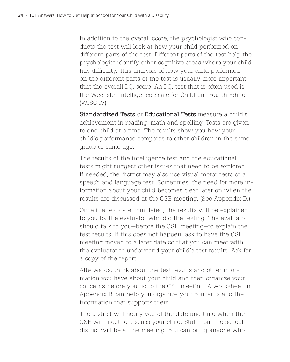In addition to the overall score, the psychologist who conducts the test will look at how your child performed on different parts of the test. Different parts of the test help the psychologist identify other cognitive areas where your child has difficulty. This analysis of how your child performed on the different parts of the test is usually more important that the overall I.Q. score. An I.Q. test that is often used is the Wechsler Intelligence Scale for Children—Fourth Edition (WISC IV).

Standardized Tests or Educational Tests measure a child's achievement in reading, math and spelling. Tests are given to one child at a time. The results show you how your child's performance compares to other children in the same grade or same age.

The results of the intelligence test and the educational tests might suggest other issues that need to be explored. If needed, the district may also use visual motor tests or a speech and language test. Sometimes, the need for more information about your child becomes clear later on when the results are discussed at the CSE meeting. (See Appendix D.)

Once the tests are completed, the results will be explained to you by the evaluator who did the testing. The evaluator should talk to you—before the CSE meeting—to explain the test results. If this does not happen, ask to have the CSE meeting moved to a later date so that you can meet with the evaluator to understand your child's test results. Ask for a copy of the report.

Afterwards, think about the test results and other information you have about your child and then organize your concerns before you go to the CSE meeting. A worksheet in Appendix B can help you organize your concerns and the information that supports them.

The district will notify you of the date and time when the CSE will meet to discuss your child. Staff from the school district will be at the meeting. You can bring anyone who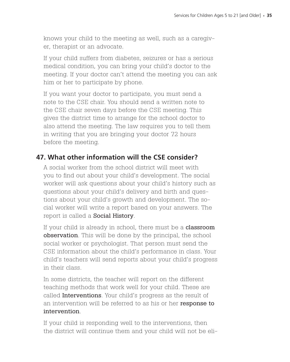knows your child to the meeting as well, such as a caregiver, therapist or an advocate.

If your child suffers from diabetes, seizures or has a serious medical condition, you can bring your child's doctor to the meeting. If your doctor can't attend the meeting you can ask him or her to participate by phone.

If you want your doctor to participate, you must send a note to the CSE chair. You should send a written note to the CSE chair seven days before the CSE meeting. This gives the district time to arrange for the school doctor to also attend the meeting. The law requires you to tell them in writing that you are bringing your doctor 72 hours before the meeting.

#### **47. What other information will the CSE consider?**

A social worker from the school district will meet with you to find out about your child's development. The social worker will ask questions about your child's history such as questions about your child's delivery and birth and questions about your child's growth and development. The social worker will write a report based on your answers. The report is called a **Social History**.

If your child is already in school, there must be a **classroom** observation. This will be done by the principal, the school social worker or psychologist. That person must send the CSE information about the child's performance in class. Your child's teachers will send reports about your child's progress in their class.

In some districts, the teacher will report on the different teaching methods that work well for your child. These are called **Interventions**. Your child's progress as the result of an intervention will be referred to as his or her response to intervention.

If your child is responding well to the interventions, then the district will continue them and your child will not be eli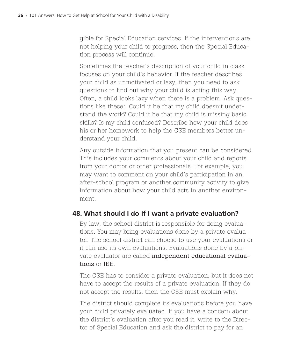gible for Special Education services. If the interventions are not helping your child to progress, then the Special Education process will continue.

Sometimes the teacher's description of your child in class focuses on your child's behavior. If the teacher describes your child as unmotivated or lazy, then you need to ask questions to find out why your child is acting this way. Often, a child looks lazy when there is a problem. Ask questions like these: Could it be that my child doesn't understand the work? Could it be that my child is missing basic skills? Is my child confused? Describe how your child does his or her homework to help the CSE members better understand your child.

Any outside information that you present can be considered. This includes your comments about your child and reports from your doctor or other professionals. For example, you may want to comment on your child's participation in an after-school program or another community activity to give information about how your child acts in another environment.

# **48. What should I do if I want a private evaluation?**

By law, the school district is responsible for doing evaluations. You may bring evaluations done by a private evaluator. The school district can choose to use your evaluations or it can use its own evaluations. Evaluations done by a private evaluator are called independent educational evaluations or IEE.

The CSE has to consider a private evaluation, but it does not have to accept the results of a private evaluation. If they do not accept the results, then the CSE must explain why.

The district should complete its evaluations before you have your child privately evaluated. If you have a concern about the district's evaluation after you read it, write to the Director of Special Education and ask the district to pay for an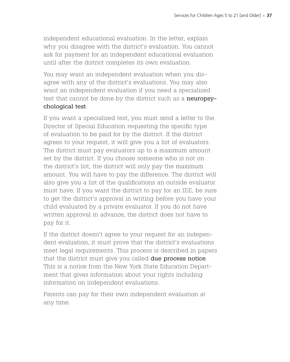independent educational evaluation. In the letter, explain why you disagree with the district's evaluation. You cannot ask for payment for an independent educational evaluation until after the district completes its own evaluation.

You may want an independent evaluation when you disagree with any of the district's evaluations. You may also want an independent evaluation if you need a specialized test that cannot be done by the district such as a **neuropsy**chological test.

If you want a specialized test, you must send a letter to the Director of Special Education requesting the specific type of evaluation to be paid for by the district. If the district agrees to your request, it will give you a list of evaluators. The district must pay evaluators up to a maximum amount set by the district. If you choose someone who is not on the district's list, the district will only pay the maximum amount. You will have to pay the difference. The district will also give you a list of the qualifications an outside evaluator must have. If you want the district to pay for an IEE, be sure to get the district's approval in writing before you have your child evaluated by a private evaluator. If you do not have written approval in advance, the district does not have to pay for it.

If the district doesn't agree to your request for an independent evaluation, it must prove that the district's evaluations meet legal requirements. This process is described in papers that the district must give you called **due process notice**. This is a notice from the New York State Education Department that gives information about your rights including information on independent evaluations.

Parents can pay for their own independent evaluation at any time.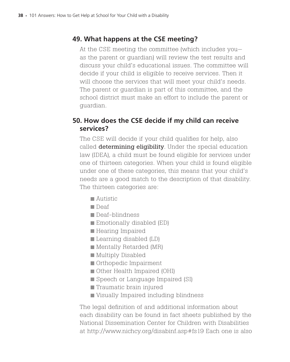# **49. What happens at the CSE meeting?**

At the CSE meeting the committee (which includes you as the parent or guardian) will review the test results and discuss your child's educational issues. The committee will decide if your child is eligible to receive services. Then it will choose the services that will meet your child's needs. The parent or guardian is part of this committee, and the school district must make an effort to include the parent or guardian.

# **50. How does the CSE decide if my child can receive services?**

The CSE will decide if your child qualifies for help, also called **determining eligibility**. Under the special education law (IDEA), a child must be found eligible for services under one of thirteen categories. When your child is found eligible under one of these categories, this means that your child's needs are a good match to the description of that disability. The thirteen categories are:

- Autistic
- **■**Deaf
- Deaf-blindness
- Emotionally disabled (ED)
- Hearing Impaired
- Learning disabled (LD)
- Mentally Retarded (MR)
- Multiply Disabled
- Orthopedic Impairment
- Other Health Impaired (OHI)
- Speech or Language Impaired (SI)
- **Traumatic brain injured**
- Visually Impaired including blindness

The legal definition of and additional information about each disability can be found in fact sheets published by the National Dissemination Center for Children with Disabilities at http://www.nichcy.org/disabinf.asp#fs19 Each one is also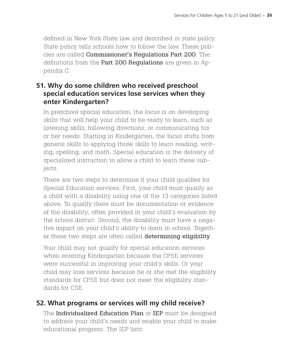defined in New York State law and described in state policy. State policy tells schools how to follow the law. These policies are called Commissioner's Regulations Part 200. The definitions from the **Part 200 Regulations** are given in Appendix C.

# **51. Why do some children who received preschool special education services lose services when they enter Kindergarten?**

In preschool special education, the focus is on developing skills that will help your child to be ready to learn, such as listening skills, following directions, or communicating his or her needs. Starting in Kindergarten, the focus shifts from general skills to applying those skills to learn reading, writing, spelling, and math. Special education is the delivery of specialized instruction to allow a child to learn these subjects.

There are two steps to determine if your child qualifies for Special Education services. First, your child must qualify as a child with a disability using one of the 13 categories listed above. To qualify there must be documentation or evidence of the disability, often provided in your child's evaluation by the school district. Second, the disability must have a negative impact on your child's ability to learn in school. Together these two steps are often called determining eligibility.

Your child may not qualify for special education services when entering Kindergarten because the CPSE services were successful in improving your child's skills. Or your child may lose services because he or she met the eligibility standards for CPSE but does not meet the eligibility standards for CSE.

# **52. What programs or services will my child receive?**

The Individualized Education Plan or IEP must be designed to address your child's needs and enable your child to make educational progress. The IEP lists: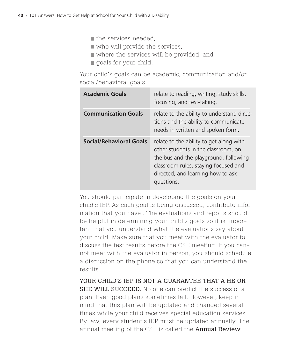$\blacksquare$  the services needed,

who will provide the services,

where the services will be provided, and

**g** goals for your child.

Your child's goals can be academic, communication and/or social/behavioral goals.

| <b>Academic Goals</b>          | relate to reading, writing, study skills,<br>focusing, and test-taking.                                                                                                                                            |
|--------------------------------|--------------------------------------------------------------------------------------------------------------------------------------------------------------------------------------------------------------------|
| <b>Communication Goals</b>     | relate to the ability to understand direc-<br>tions and the ability to communicate<br>needs in written and spoken form.                                                                                            |
| <b>Social/Behavioral Goals</b> | relate to the ability to get along with<br>other students in the classroom, on<br>the bus and the playground, following<br>classroom rules, staying focused and<br>directed, and learning how to ask<br>questions. |

You should participate in developing the goals on your child's IEP. As each goal is being discussed, contribute information that you have . The evaluations and reports should be helpful in determining your child's goals so it is important that you understand what the evaluations say about your child. Make sure that you meet with the evaluator to discuss the test results before the CSE meeting. If you cannot meet with the evaluator in person, you should schedule a discussion on the phone so that you can understand the results.

YOUR CHILD'S IEP IS NOT A GUARANTEE THAT A HE OR SHE WILL SUCCEED. No one can predict the success of a plan. Even good plans sometimes fail. However, keep in mind that this plan will be updated and changed several times while your child receives special education services. By law, every student's IEP must be updated annually. The annual meeting of the CSE is called the **Annual Review**.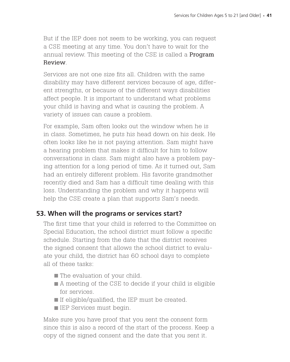But if the IEP does not seem to be working, you can request a CSE meeting at any time. You don't have to wait for the annual review. This meeting of the CSE is called a **Program** Review.

Services are not one size fits all. Children with the same disability may have different services because of age, different strengths, or because of the different ways disabilities affect people. It is important to understand what problems your child is having and what is causing the problem. A variety of issues can cause a problem.

For example, Sam often looks out the window when he is in class. Sometimes, he puts his head down on his desk. He often looks like he is not paying attention. Sam might have a hearing problem that makes it difficult for him to follow conversations in class. Sam might also have a problem paying attention for a long period of time. As it turned out, Sam had an entirely different problem. His favorite grandmother recently died and Sam has a difficult time dealing with this loss. Understanding the problem and why it happens will help the CSE create a plan that supports Sam's needs.

#### **53. When will the programs or services start?**

The first time that your child is referred to the Committee on Special Education, the school district must follow a specific schedule. Starting from the date that the district receives the signed consent that allows the school district to evaluate your child, the district has 60 school days to complete all of these tasks:

- The evaluation of your child.
- A meeting of the CSE to decide if your child is eligible for services.
- If eligible/qualified, the IEP must be created.
- $\blacksquare$  IEP Services must begin.

Make sure you have proof that you sent the consent form since this is also a record of the start of the process. Keep a copy of the signed consent and the date that you sent it.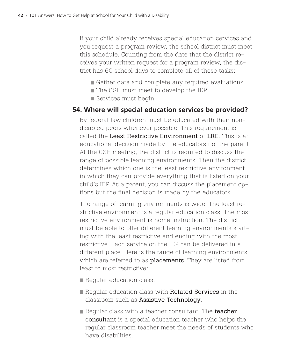If your child already receives special education services and you request a program review, the school district must meet this schedule. Counting from the date that the district receives your written request for a program review, the district has 60 school days to complete all of these tasks:

- Gather data and complete any required evaluations.
- The CSE must meet to develop the IEP.
- Services must begin.

#### **54. Where will special education services be provided?**

By federal law children must be educated with their nondisabled peers whenever possible. This requirement is called the Least Restrictive Environment or LRE. This is an educational decision made by the educators not the parent. At the CSE meeting, the district is required to discuss the range of possible learning environments. Then the district determines which one is the least restrictive environment in which they can provide everything that is listed on your child's IEP. As a parent, you can discuss the placement options but the final decision is made by the educators.

The range of learning environments is wide. The least restrictive environment is a regular education class. The most restrictive environment is home instruction. The district must be able to offer different learning environments starting with the least restrictive and ending with the most restrictive. Each service on the IEP can be delivered in a different place. Here is the range of learning environments which are referred to as **placements**. They are listed from least to most restrictive:

- Regular education class.
- Regular education class with Related Services in the classroom such as Assistive Technology.
- Regular class with a teacher consultant. The teacher consultant is a special education teacher who helps the regular classroom teacher meet the needs of students who have disabilities.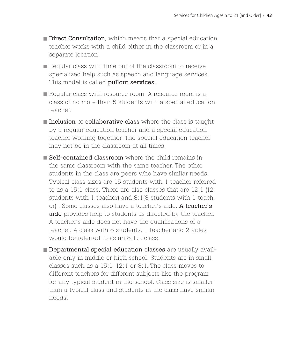- Direct Consultation, which means that a special education teacher works with a child either in the classroom or in a separate location.
- Regular class with time out of the classroom to receive specialized help such as speech and language services. This model is called **pullout services**.
- Regular class with resource room. A resource room is a class of no more than 5 students with a special education teacher.
- Inclusion or collaborative class where the class is taught by a regular education teacher and a special education teacher working together. The special education teacher may not be in the classroom at all times.
- Self-contained classroom where the child remains in the same classroom with the same teacher. The other students in the class are peers who have similar needs. Typical class sizes are 15 students with 1 teacher referred to as a 15:1 class. There are also classes that are 12:1 (12 students with 1 teacher) and 8:1(8 students with 1 teacher). Some classes also have a teacher's aide. A teacher's aide provides help to students as directed by the teacher. A teacher's aide does not have the qualifications of a teacher. A class with 8 students, 1 teacher and 2 aides would be referred to as an 8:1:2 class.
- Departmental special education classes are usually available only in middle or high school. Students are in small classes such as a 15:1, 12:1 or 8:1. The class moves to different teachers for different subjects like the program for any typical student in the school. Class size is smaller than a typical class and students in the class have similar needs.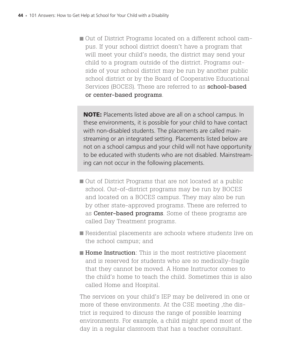Out of District Programs located on a different school campus. If your school district doesn't have a program that will meet your child's needs, the district may send your child to a program outside of the district. Programs outside of your school district may be run by another public school district or by the Board of Cooperative Educational Services (BOCES). These are referred to as **school-based** or center-based programs.

NOTE: Placements listed above are all on a school campus. In these environments, it is possible for your child to have contact with non-disabled students. The placements are called mainstreaming or an integrated setting. Placements listed below are not on a school campus and your child will not have opportunity to be educated with students who are not disabled. Mainstreaming can not occur in the following placements.

- Out of District Programs that are not located at a public school. Out-of-district programs may be run by BOCES and located on a BOCES campus. They may also be run by other state-approved programs. These are referred to as **Center-based programs**. Some of these programs are called Day Treatment programs.
- Residential placements are schools where students live on the school campus; and
- Home Instruction: This is the most restrictive placement and is reserved for students who are so medically-fragile that they cannot be moved. A Home Instructor comes to the child's home to teach the child. Sometimes this is also called Home and Hospital.

The services on your child's IEP may be delivered in one or more of these environments. At the CSE meeting ,the district is required to discuss the range of possible learning environments. For example, a child might spend most of the day in a regular classroom that has a teacher consultant.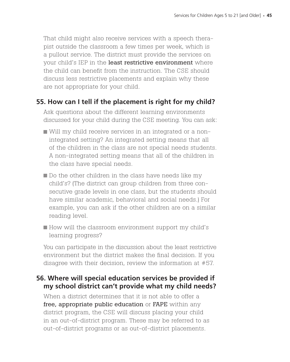That child might also receive services with a speech therapist outside the classroom a few times per week, which is a pullout service. The district must provide the services on your child's IEP in the least restrictive environment where the child can benefit from the instruction. The CSE should discuss less restrictive placements and explain why these are not appropriate for your child.

#### **55. How can I tell if the placement is right for my child?**

Ask questions about the different learning environments discussed for your child during the CSE meeting. You can ask:

- Will my child receive services in an integrated or a nonintegrated setting? An integrated setting means that all of the children in the class are not special needs students. A non-integrated setting means that all of the children in the class have special needs.
- Do the other children in the class have needs like my child's? (The district can group children from three consecutive grade levels in one class, but the students should have similar academic, behavioral and social needs.) For example, you can ask if the other children are on a similar reading level.
- How will the classroom environment support my child's learning progress?

You can participate in the discussion about the least restrictive environment but the district makes the final decision. If you disagree with their decision, review the information at #57.

#### **56. Where will special education services be provided if my school district can't provide what my child needs?**

When a district determines that it is not able to offer a free, appropriate public education or FAPE within any district program, the CSE will discuss placing your child in an out-of-district program. These may be referred to as out-of-district programs or as out-of-district placements.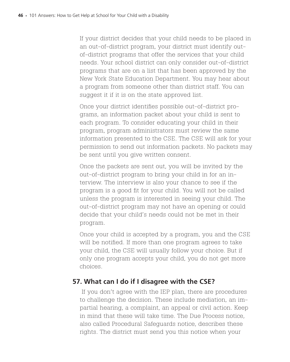If your district decides that your child needs to be placed in an out-of-district program, your district must identify outof-district programs that offer the services that your child needs. Your school district can only consider out-of-district programs that are on a list that has been approved by the New York State Education Department. You may hear about a program from someone other than district staff. You can suggest it if it is on the state approved list.

Once your district identifies possible out-of-district programs, an information packet about your child is sent to each program. To consider educating your child in their program, program administrators must review the same information presented to the CSE. The CSE will ask for your permission to send out information packets. No packets may be sent until you give written consent.

Once the packets are sent out, you will be invited by the out-of-district program to bring your child in for an interview. The interview is also your chance to see if the program is a good fit for your child. You will not be called unless the program is interested in seeing your child. The out-of-district program may not have an opening or could decide that your child's needs could not be met in their program.

Once your child is accepted by a program, you and the CSE will be notified. If more than one program agrees to take your child, the CSE will usually follow your choice. But if only one program accepts your child, you do not get more choices.

# **57. What can I do if I disagree with the CSE?**

If you don't agree with the IEP plan, there are procedures to challenge the decision. These include mediation, an impartial hearing, a complaint, an appeal or civil action. Keep in mind that these will take time. The Due Process notice, also called Procedural Safeguards notice, describes these rights. The district must send you this notice when your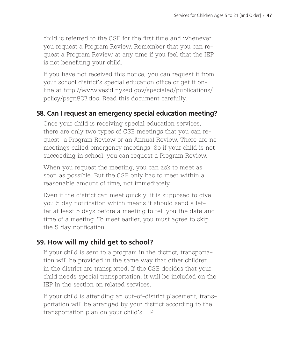child is referred to the CSE for the first time and whenever you request a Program Review. Remember that you can request a Program Review at any time if you feel that the IEP is not benefiting your child.

If you have not received this notice, you can request it from your school district's special education office or get it online at http://www.vesid.nysed.gov/specialed/publications/ policy/psgn807.doc. Read this document carefully.

#### **58. Can I request an emergency special education meeting?**

Once your child is receiving special education services, there are only two types of CSE meetings that you can request—a Program Review or an Annual Review. There are no meetings called emergency meetings. So if your child is not succeeding in school, you can request a Program Review.

When you request the meeting, you can ask to meet as soon as possible. But the CSE only has to meet within a reasonable amount of time, not immediately.

Even if the district can meet quickly, it is supposed to give you 5 day notification which means it should send a letter at least 5 days before a meeting to tell you the date and time of a meeting. To meet earlier, you must agree to skip the 5 day notification.

#### **59. How will my child get to school?**

If your child is sent to a program in the district, transportation will be provided in the same way that other children in the district are transported. If the CSE decides that your child needs special transportation, it will be included on the IEP in the section on related services.

If your child is attending an out-of-district placement, transportation will be arranged by your district according to the transportation plan on your child's IEP.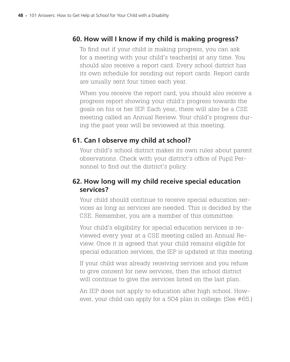# **60. How will I know if my child is making progress?**

To find out if your child is making progress, you can ask for a meeting with your child's teacher(s) at any time. You should also receive a report card. Every school district has its own schedule for sending out report cards. Report cards are usually sent four times each year.

When you receive the report card, you should also receive a progress report showing your child's progress towards the goals on his or her IEP. Each year, there will also be a CSE meeting called an Annual Review. Your child's progress during the past year will be reviewed at this meeting.

# **61. Can I observe my child at school?**

Your child's school district makes its own rules about parent observations. Check with your district's office of Pupil Personnel to find out the district's policy.

# **62. How long will my child receive special education services?**

Your child should continue to receive special education services as long as services are needed. This is decided by the CSE. Remember, you are a member of this committee.

Your child's eligibility for special education services is reviewed every year at a CSE meeting called an Annual Review. Once it is agreed that your child remains eligible for special education services, the IEP is updated at this meeting.

If your child was already receiving services and you refuse to give consent for new services, then the school district will continue to give the services listed on the last plan.

An IEP does not apply to education after high school. However, your child can apply for a 504 plan in college. (See #65.)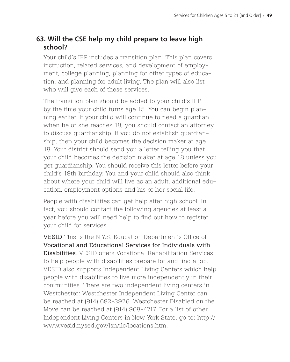# **63. Will the CSE help my child prepare to leave high school?**

Your child's IEP includes a transition plan. This plan covers instruction, related services, and development of employment, college planning, planning for other types of education, and planning for adult living. The plan will also list who will give each of these services.

The transition plan should be added to your child's IEP by the time your child turns age 15. You can begin planning earlier. If your child will continue to need a guardian when he or she reaches 18, you should contact an attorney to discuss guardianship. If you do not establish guardianship, then your child becomes the decision maker at age 18. Your district should send you a letter telling you that your child becomes the decision maker at age 18 unless you get guardianship. You should receive this letter before your child's 18th birthday. You and your child should also think about where your child will live as an adult, additional education, employment options and his or her social life.

People with disabilities can get help after high school. In fact, you should contact the following agencies at least a year before you will need help to find out how to register your child for services.

VESID This is the N.Y.S. Education Department's Office of Vocational and Educational Services for Individuals with Disabilities. VESID offers Vocational Rehabilitation Services to help people with disabilities prepare for and find a job. VESID also supports Independent Living Centers which help people with disabilities to live more independently in their communities. There are two independent living centers in Westchester: Westchester Independent Living Center can be reached at (914) 682-3926. Westchester Disabled on the Move can be reached at (914) 968-4717. For a list of other Independent Living Centers in New York State, go to: http:// www.vesid.nysed.gov/lsn/ilc/locations.htm.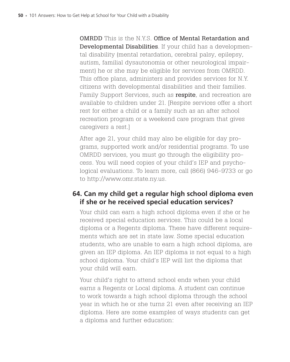OMRDD This is the N.Y.S. Office of Mental Retardation and Developmental Disabilities. If your child has a developmental disability (mental retardation, cerebral palsy, epilepsy, autism, familial dysautonomia or other neurological impairment) he or she may be eligible for services from OMRDD. This office plans, administers and provides services for N.Y. citizens with developmental disabilities and their families. Family Support Services, such as **respite**, and recreation are available to children under 21. [Respite services offer a short rest for either a child or a family such as an after school recreation program or a weekend care program that gives caregivers a rest.]

After age 21, your child may also be eligible for day programs, supported work and/or residential programs. To use OMRDD services, you must go through the eligibility process. You will need copies of your child's IEP and psychological evaluations. To learn more, call (866) 946-9733 or go to http://www.omr.state.ny.us.

# **64. Can my child get a regular high school diploma even if she or he received special education services?**

Your child can earn a high school diploma even if she or he received special education services. This could be a local diploma or a Regents diploma. These have different requirements which are set in state law. Some special education students, who are unable to earn a high school diploma, are given an IEP diploma. An IEP diploma is not equal to a high school diploma. Your child's IEP will list the diploma that your child will earn.

Your child's right to attend school ends when your child earns a Regents or Local diploma. A student can continue to work towards a high school diploma through the school year in which he or she turns 21 even after receiving an IEP diploma. Here are some examples of ways students can get a diploma and further education: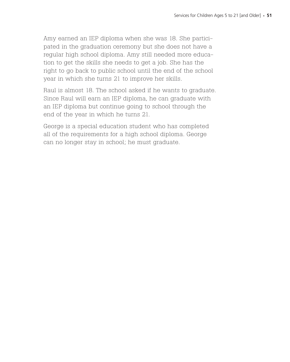Amy earned an IEP diploma when she was 18. She participated in the graduation ceremony but she does not have a regular high school diploma. Amy still needed more education to get the skills she needs to get a job. She has the right to go back to public school until the end of the school year in which she turns 21 to improve her skills.

Raul is almost 18. The school asked if he wants to graduate. Since Raul will earn an IEP diploma, he can graduate with an IEP diploma but continue going to school through the end of the year in which he turns 21.

George is a special education student who has completed all of the requirements for a high school diploma. George can no longer stay in school; he must graduate.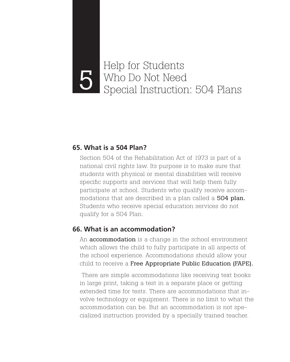# Help for Students Who Do Not Need<br>Special Instruction: 504 Plans

#### **65. What is a 504 Plan?**

Section 504 of the Rehabilitation Act of 1973 is part of a national civil rights law. Its purpose is to make sure that students with physical or mental disabilities will receive specific supports and services that will help them fully participate at school. Students who qualify receive accommodations that are described in a plan called a 504 plan. Students who receive special education services do not qualify for a 504 Plan.

#### **66. What is an accommodation?**

An **accommodation** is a change in the school environment which allows the child to fully participate in all aspects of the school experience. Accommodations should allow your child to receive a Free Appropriate Public Education (FAPE).

 There are simple accommodations like receiving text books in large print, taking a test in a separate place or getting extended time for tests. There are accommodations that involve technology or equipment. There is no limit to what the accommodation can be. But an accommodation is not specialized instruction provided by a specially trained teacher.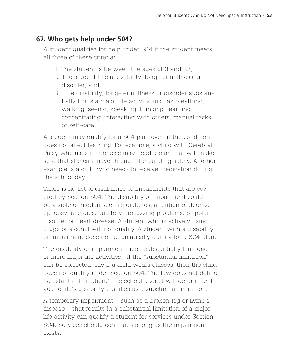# **67. Who gets help under 504?**

A student qualifies for help under 504 if the student meets all three of these criteria:

- 1. The student is between the ages of 3 and 22;
- 2. The student has a disability, long-term illness or disorder; and
- 3. The disability, long-term illness or disorder substantially limits a major life activity such as breathing, walking, seeing, speaking, thinking, learning, concentrating, interacting with others, manual tasks or self-care.

A student may qualify for a 504 plan even if the condition does not affect learning. For example, a child with Cerebral Palsy who uses arm braces may need a plan that will make sure that she can move through the building safely. Another example is a child who needs to receive medication during the school day.

There is no list of disabilities or impairments that are covered by Section 504. The disability or impairment could be visible or hidden such as diabetes, attention problems, epilepsy, allergies, auditory processing problems, bi-polar disorder or heart disease. A student who is actively using drugs or alcohol will not qualify. A student with a disability or impairment does not automatically qualify for a 504 plan.

The disability or impairment must "substantially limit one or more major life activities." If the "substantial limitation" can be corrected, say if a child wears glasses, then the child does not qualify under Section 504. The law does not define "substantial limitation." The school district will determine if your child's disability qualifies as a substantial limitation.

A temporary impairment – such as a broken leg or Lyme's disease – that results in a substantial limitation of a major life activity can qualify a student for services under Section 504. Services should continue as long as the impairment exists.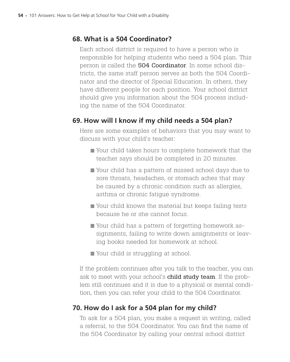# **68. What is a 504 Coordinator?**

Each school district is required to have a person who is responsible for helping students who need a 504 plan. This person is called the 504 Coordinator. In some school districts, the same staff person serves as both the 504 Coordinator and the director of Special Education. In others, they have different people for each position. Your school district should give you information about the 504 process including the name of the 504 Coordinator.

# **69. How will I know if my child needs a 504 plan?**

Here are some examples of behaviors that you may want to discuss with your child's teacher:

- Your child takes hours to complete homework that the teacher says should be completed in 20 minutes.
- Your child has a pattern of missed school days due to sore throats, headaches, or stomach aches that may be caused by a chronic condition such as allergies, asthma or chronic fatigue syndrome.
- Your child knows the material but keeps failing tests because he or she cannot focus.
- Your child has a pattern of forgetting homework assignments, failing to write down assignments or leaving books needed for homework at school.
- Your child is struggling at school.

If the problem continues after you talk to the teacher, you can ask to meet with your school's **child study team**. If the problem still continues and it is due to a physical or mental condition, then you can refer your child to the 504 Coordinator.

# **70. How do I ask for a 504 plan for my child?**

To ask for a 504 plan, you make a request in writing, called a referral, to the 504 Coordinator. You can find the name of the 504 Coordinator by calling your central school district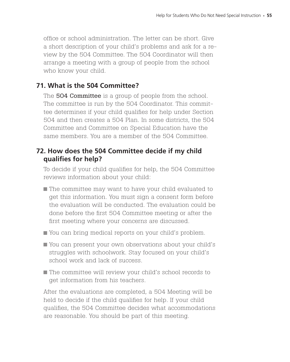office or school administration. The letter can be short. Give a short description of your child's problems and ask for a review by the 504 Committee. The 504 Coordinator will then arrange a meeting with a group of people from the school who know your child.

# **71. What is the 504 Committee?**

The **504 Committee** is a group of people from the school. The committee is run by the 504 Coordinator. This committee determines if your child qualifies for help under Section 504 and then creates a 504 Plan. In some districts, the 504 Committee and Committee on Special Education have the same members. You are a member of the 504 Committee.

# **72. How does the 504 Committee decide if my child qualifies for help?**

To decide if your child qualifies for help, the 504 Committee reviews information about your child:

- The committee may want to have your child evaluated to get this information. You must sign a consent form before the evaluation will be conducted. The evaluation could be done before the first 504 Committee meeting or after the first meeting where your concerns are discussed.
- You can bring medical reports on your child's problem.
- You can present your own observations about your child's struggles with schoolwork. Stay focused on your child's school work and lack of success.
- The committee will review your child's school records to get information from his teachers.

After the evaluations are completed, a 504 Meeting will be held to decide if the child qualifies for help. If your child qualifies, the 504 Committee decides what accommodations are reasonable. You should be part of this meeting.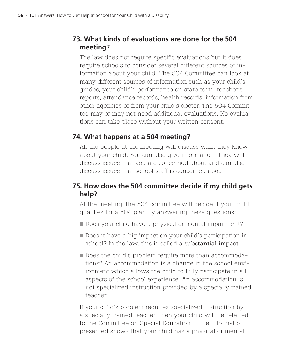# **73. What kinds of evaluations are done for the 504 meeting?**

The law does not require specific evaluations but it does require schools to consider several different sources of information about your child. The 504 Committee can look at many different sources of information such as your child's grades, your child's performance on state tests, teacher's reports, attendance records, health records, information from other agencies or from your child's doctor. The 504 Committee may or may not need additional evaluations. No evaluations can take place without your written consent.

# **74. What happens at a 504 meeting?**

All the people at the meeting will discuss what they know about your child. You can also give information. They will discuss issues that you are concerned about and can also discuss issues that school staff is concerned about.

# **75. How does the 504 committee decide if my child gets help?**

At the meeting, the 504 committee will decide if your child qualifies for a 504 plan by answering these questions:

- Does your child have a physical or mental impairment?
- Does it have a big impact on your child's participation in school? In the law, this is called a **substantial impact**.
- Does the child's problem require more than accommodations? An accommodation is a change in the school environment which allows the child to fully participate in all aspects of the school experience. An accommodation is not specialized instruction provided by a specially trained teacher.

If your child's problem requires specialized instruction by a specially trained teacher, then your child will be referred to the Committee on Special Education. If the information presented shows that your child has a physical or mental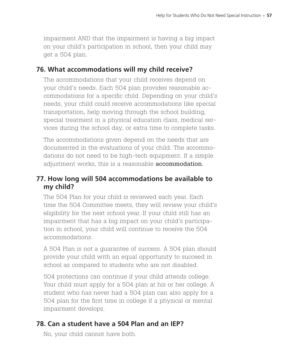impairment AND that the impairment is having a big impact on your child's participation in school, then your child may get a 504 plan.

#### **76. What accommodations will my child receive?**

The accommodations that your child receives depend on your child's needs. Each 504 plan provides reasonable accommodations for a specific child. Depending on your child's needs, your child could receive accommodations like special transportation, help moving through the school building, special treatment in a physical education class, medical services during the school day, or extra time to complete tasks.

The accommodations given depend on the needs that are documented in the evaluations of your child. The accommodations do not need to be high-tech equipment. If a simple adjustment works, this is a reasonable **accommodation**.

# **77. How long will 504 accommodations be available to my child?**

The 504 Plan for your child is reviewed each year. Each time the 504 Committee meets, they will review your child's eligibility for the next school year. If your child still has an impairment that has a big impact on your child's participation in school, your child will continue to receive the 504 accommodations.

A 504 Plan is not a guarantee of success. A 504 plan should provide your child with an equal opportunity to succeed in school as compared to students who are not disabled.

504 protections can continue if your child attends college. Your child must apply for a 504 plan at his or her college. A student who has never had a 504 plan can also apply for a 504 plan for the first time in college if a physical or mental impairment develops.

# **78. Can a student have a 504 Plan and an IEP?**

No, your child cannot have both.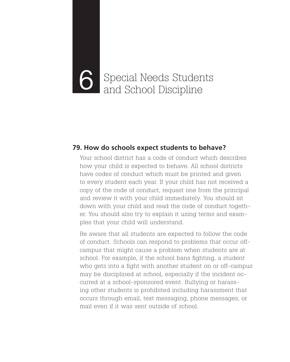# Special Needs Students 6 and School Discipline

#### **79. How do schools expect students to behave?**

Your school district has a code of conduct which describes how your child is expected to behave. All school districts have codes of conduct which must be printed and given to every student each year. If your child has not received a copy of the code of conduct, request one from the principal and review it with your child immediately. You should sit down with your child and read the code of conduct together. You should also try to explain it using terms and examples that your child will understand.

Be aware that all students are expected to follow the code of conduct. Schools can respond to problems that occur offcampus that might cause a problem when students are at school. For example, if the school bans fighting, a student who gets into a fight with another student on or off-campus may be disciplined at school, especially if the incident occurred at a school-sponsored event. Bullying or harassing other students is prohibited including harassment that occurs through email, text messaging, phone messages, or mail even if it was sent outside of school.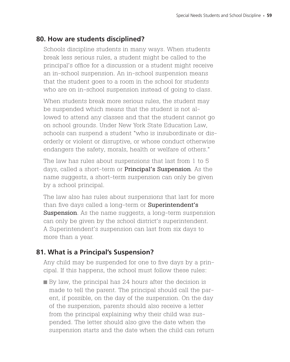#### **80. How are students disciplined?**

Schools discipline students in many ways. When students break less serious rules, a student might be called to the principal's office for a discussion or a student might receive an in-school suspension. An in-school suspension means that the student goes to a room in the school for students who are on in-school suspension instead of going to class.

When students break more serious rules, the student may be suspended which means that the student is not allowed to attend any classes and that the student cannot go on school grounds. Under New York State Education Law, schools can suspend a student "who is insubordinate or disorderly or violent or disruptive, or whose conduct otherwise endangers the safety, morals, health or welfare of others."

The law has rules about suspensions that last from 1 to 5 days, called a short-term or Principal's Suspension. As the name suggests, a short-term suspension can only be given by a school principal.

The law also has rules about suspensions that last for more than five days called a long-term or **Superintendent's Suspension**. As the name suggests, a long-term suspension can only be given by the school district's superintendent. A Superintendent's suspension can last from six days to more than a year.

# **81. What is a Principal's Suspension?**

Any child may be suspended for one to five days by a principal. If this happens, the school must follow these rules:

By law, the principal has 24 hours after the decision is made to tell the parent. The principal should call the parent, if possible, on the day of the suspension. On the day of the suspension, parents should also receive a letter from the principal explaining why their child was suspended. The letter should also give the date when the suspension starts and the date when the child can return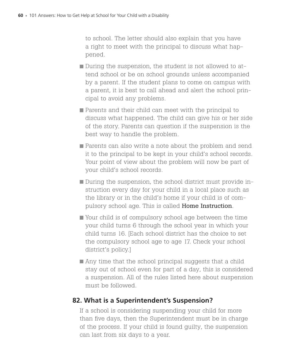to school. The letter should also explain that you have a right to meet with the principal to discuss what happened.

- During the suspension, the student is not allowed to attend school or be on school grounds unless accompanied by a parent. If the student plans to come on campus with a parent, it is best to call ahead and alert the school principal to avoid any problems.
- Parents and their child can meet with the principal to discuss what happened. The child can give his or her side of the story. Parents can question if the suspension is the best way to handle the problem.
- **Parents can also write a note about the problem and send** it to the principal to be kept in your child's school records. Your point of view about the problem will now be part of your child's school records.
- During the suspension, the school district must provide instruction every day for your child in a local place such as the library or in the child's home if your child is of compulsory school age. This is called Home Instruction.
- Your child is of compulsory school age between the time your child turns 6 through the school year in which your child turns 16. [Each school district has the choice to set the compulsory school age to age 17. Check your school district's policy.]
- Any time that the school principal suggests that a child stay out of school even for part of a day, this is considered a suspension. All of the rules listed here about suspension must be followed.

#### **82. What is a Superintendent's Suspension?**

If a school is considering suspending your child for more than five days, then the Superintendent must be in charge of the process. If your child is found guilty, the suspension can last from six days to a year.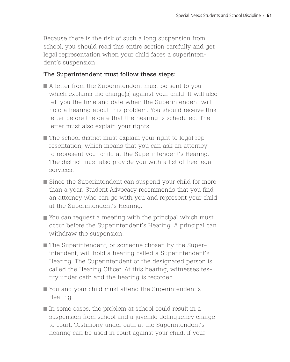Because there is the risk of such a long suspension from school, you should read this entire section carefully and get legal representation when your child faces a superintendent's suspension.

### The Superintendent must follow these steps:

- A letter from the Superintendent must be sent to you which explains the charge(s) against your child. It will also tell you the time and date when the Superintendent will hold a hearing about this problem. You should receive this letter before the date that the hearing is scheduled. The letter must also explain your rights.
- The school district must explain your right to legal representation, which means that you can ask an attorney to represent your child at the Superintendent's Hearing. The district must also provide you with a list of free legal services.
- Since the Superintendent can suspend your child for more than a year, Student Advocacy recommends that you find an attorney who can go with you and represent your child at the Superintendent's Hearing.
- You can request a meeting with the principal which must occur before the Superintendent's Hearing. A principal can withdraw the suspension.
- The Superintendent, or someone chosen by the Superintendent, will hold a hearing called a Superintendent's Hearing. The Superintendent or the designated person is called the Hearing Officer. At this hearing, witnesses testify under oath and the hearing is recorded.
- You and your child must attend the Superintendent's Hearing.
- $\blacksquare$  In some cases, the problem at school could result in a suspension from school and a juvenile delinquency charge to court. Testimony under oath at the Superintendent's hearing can be used in court against your child. If your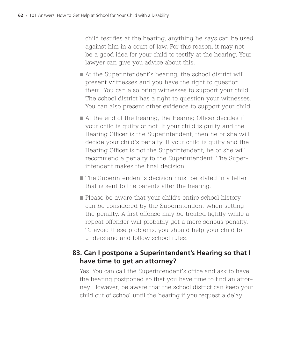child testifies at the hearing, anything he says can be used against him in a court of law. For this reason, it may not be a good idea for your child to testify at the hearing. Your lawyer can give you advice about this.

- At the Superintendent's hearing, the school district will present witnesses and you have the right to question them. You can also bring witnesses to support your child. The school district has a right to question your witnesses. You can also present other evidence to support your child.
- At the end of the hearing, the Hearing Officer decides if your child is guilty or not. If your child is guilty and the Hearing Officer is the Superintendent, then he or she will decide your child's penalty. If your child is guilty and the Hearing Officer is not the Superintendent, he or she will recommend a penalty to the Superintendent. The Superintendent makes the final decision.
- The Superintendent's decision must be stated in a letter that is sent to the parents after the hearing.
- Please be aware that your child's entire school history can be considered by the Superintendent when setting the penalty. A first offense may be treated lightly while a repeat offender will probably get a more serious penalty. To avoid these problems, you should help your child to understand and follow school rules.

### **83. Can I postpone a Superintendent's Hearing so that I have time to get an attorney?**

Yes. You can call the Superintendent's office and ask to have the hearing postponed so that you have time to find an attorney. However, be aware that the school district can keep your child out of school until the hearing if you request a delay.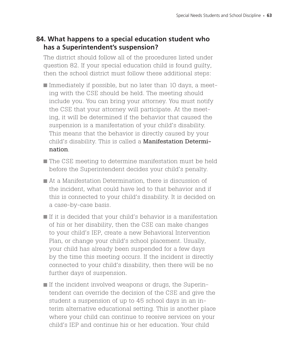### **84. What happens to a special education student who has a Superintendent's suspension?**

The district should follow all of the procedures listed under question 82. If your special education child is found guilty, then the school district must follow these additional steps:

- Immediately if possible, but no later than 10 days, a meeting with the CSE should be held. The meeting should include you. You can bring your attorney. You must notify the CSE that your attorney will participate. At the meeting, it will be determined if the behavior that caused the suspension is a manifestation of your child's disability. This means that the behavior is directly caused by your child's disability. This is called a Manifestation Determination.
- The CSE meeting to determine manifestation must be held before the Superintendent decides your child's penalty.
- At a Manifestation Determination, there is discussion of the incident, what could have led to that behavior and if this is connected to your child's disability. It is decided on a case-by-case basis.
- If it is decided that your child's behavior is a manifestation of his or her disability, then the CSE can make changes to your child's IEP, create a new Behavioral Intervention Plan, or change your child's school placement. Usually, your child has already been suspended for a few days by the time this meeting occurs. If the incident is directly connected to your child's disability, then there will be no further days of suspension.
- If the incident involved weapons or drugs, the Superintendent can override the decision of the CSE and give the student a suspension of up to 45 school days in an interim alternative educational setting. This is another place where your child can continue to receive services on your child's IEP and continue his or her education. Your child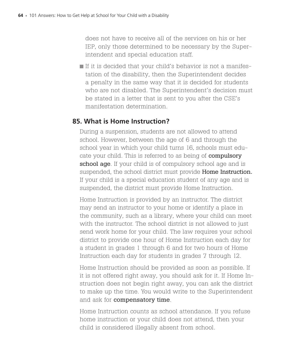does not have to receive all of the services on his or her IEP, only those determined to be necessary by the Superintendent and special education staff.

If it is decided that your child's behavior is not a manifestation of the disability, then the Superintendent decides a penalty in the same way that it is decided for students who are not disabled. The Superintendent's decision must be stated in a letter that is sent to you after the CSE's manifestation determination.

### **85. What is Home Instruction?**

During a suspension, students are not allowed to attend school. However, between the age of 6 and through the school year in which your child turns 16, schools must educate your child. This is referred to as being of **compulsory** school age. If your child is of compulsory school age and is suspended, the school district must provide **Home Instruction.** If your child is a special education student of any age and is suspended, the district must provide Home Instruction.

Home Instruction is provided by an instructor. The district may send an instructor to your home or identify a place in the community, such as a library, where your child can meet with the instructor. The school district is not allowed to just send work home for your child. The law requires your school district to provide one hour of Home Instruction each day for a student in grades 1 through 6 and for two hours of Home Instruction each day for students in grades 7 through 12.

Home Instruction should be provided as soon as possible. If it is not offered right away, you should ask for it. If Home Instruction does not begin right away, you can ask the district to make up the time. You would write to the Superintendent and ask for **compensatory time**.

Home Instruction counts as school attendance. If you refuse home instruction or your child does not attend, then your child is considered illegally absent from school.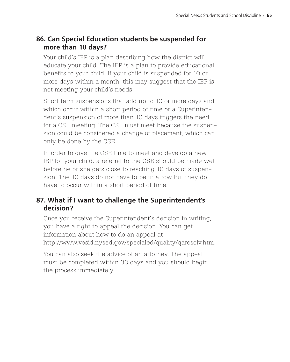### **86. Can Special Education students be suspended for more than 10 days?**

Your child's IEP is a plan describing how the district will educate your child. The IEP is a plan to provide educational benefits to your child. If your child is suspended for 10 or more days within a month, this may suggest that the IEP is not meeting your child's needs.

Short term suspensions that add up to 10 or more days and which occur within a short period of time or a Superintendent's suspension of more than 10 days triggers the need for a CSE meeting. The CSE must meet because the suspension could be considered a change of placement, which can only be done by the CSE.

In order to give the CSE time to meet and develop a new IEP for your child, a referral to the CSE should be made well before he or she gets close to reaching 10 days of suspension. The 10 days do not have to be in a row but they do have to occur within a short period of time.

### **87. What if I want to challenge the Superintendent's decision?**

Once you receive the Superintendent's decision in writing, you have a right to appeal the decision. You can get information about how to do an appeal at http://www.vesid.nysed.gov/specialed/quality/qaresolv.htm.

You can also seek the advice of an attorney. The appeal must be completed within 30 days and you should begin the process immediately.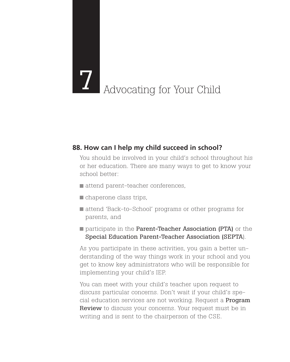# **7** Advocating for Your Child

### **88. How can I help my child succeed in school?**

You should be involved in your child's school throughout his or her education. There are many ways to get to know your school better:

- attend parent-teacher conferences,
- chaperone class trips,
- attend 'Back-to-School' programs or other programs for parents, and
- **participate in the Parent-Teacher Association (PTA)** or the Special Education Parent-Teacher Association (SEPTA).

As you participate in these activities, you gain a better understanding of the way things work in your school and you get to know key administrators who will be responsible for implementing your child's IEP.

You can meet with your child's teacher upon request to discuss particular concerns. Don't wait if your child's special education services are not working. Request a Program **Review** to discuss your concerns. Your request must be in writing and is sent to the chairperson of the CSE.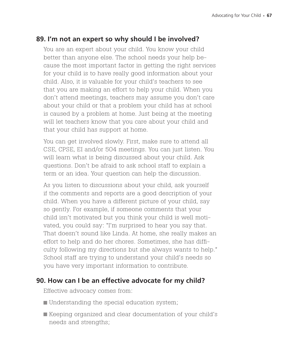### **89. I'm not an expert so why should I be involved?**

You are an expert about your child. You know your child better than anyone else. The school needs your help because the most important factor in getting the right services for your child is to have really good information about your child. Also, it is valuable for your child's teachers to see that you are making an effort to help your child. When you don't attend meetings, teachers may assume you don't care about your child or that a problem your child has at school is caused by a problem at home. Just being at the meeting will let teachers know that you care about your child and that your child has support at home.

You can get involved slowly. First, make sure to attend all CSE, CPSE, EI and/or 504 meetings. You can just listen. You will learn what is being discussed about your child. Ask questions. Don't be afraid to ask school staff to explain a term or an idea. Your question can help the discussion.

As you listen to discussions about your child, ask yourself if the comments and reports are a good description of your child. When you have a different picture of your child, say so gently. For example, if someone comments that your child isn't motivated but you think your child is well motivated, you could say: "I'm surprised to hear you say that. That doesn't sound like Linda. At home, she really makes an effort to help and do her chores. Sometimes, she has difficulty following my directions but she always wants to help." School staff are trying to understand your child's needs so you have very important information to contribute.

### **90. How can I be an effective advocate for my child?**

Effective advocacy comes from:

- **Understanding the special education system;**
- Keeping organized and clear documentation of your child's needs and strengths;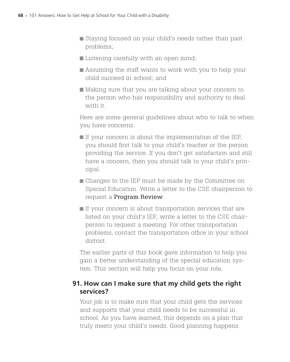- Staying focused on your child's needs rather than past problems;
- Listening carefully with an open mind;
- Assuming the staff wants to work with you to help your child succeed in school; and
- Making sure that you are talking about your concern to the person who has responsibility and authority to deal with it.

Here are some general guidelines about who to talk to when you have concerns.

- $\blacksquare$  If your concern is about the implementation of the IEP, you should first talk to your child's teacher or the person providing the service. If you don't get satisfaction and still have a concern, then you should talk to your child's principal.
- Changes to the IEP must be made by the Committee on Special Education. Write a letter to the CSE chairperson to request a Program Review.
- $\blacksquare$  If your concern is about transportation services that are listed on your child's IEP, write a letter to the CSE chairperson to request a meeting. For other transportation problems, contact the transportation office in your school district.

The earlier parts of this book gave information to help you gain a better understanding of the special education system. This section will help you focus on your role.

### **91. How can I make sure that my child gets the right services?**

Your job is to make sure that your child gets the services and supports that your child needs to be successful in school. As you have learned, this depends on a plan that truly meets your child's needs. Good planning happens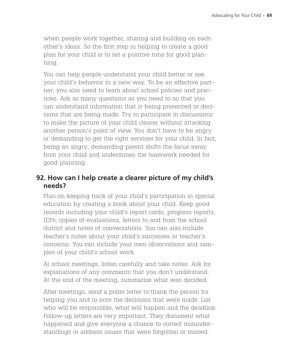when people work together, sharing and building on each other's ideas. So the first step in helping to create a good plan for your child is to set a positive tone for good planning.

You can help people understand your child better or see your child's behavior in a new way. To be an effective partner, you also need to learn about school policies and practices. Ask as many questions as you need to so that you can understand information that is being presented or decisions that are being made. Try to participate in discussions to make the picture of your child clearer without attacking another person's point of view. You don't have to be angry or demanding to get the right services for your child. In fact, being an angry, demanding parent shifts the focus away from your child and undermines the teamwork needed for good planning.

### **92. How can I help create a clearer picture of my child's needs?**

Plan on keeping track of your child's participation in special education by creating a book about your child. Keep good records including your child's report cards, progress reports, IEPs, copies of evaluations, letters to and from the school district and notes of conversations. You can also include teacher's notes about your child's successes or teacher's concerns. You can include your own observations and samples of your child's school work.

At school meetings, listen carefully and take notes. Ask for explanations of any comments that you don't understand. At the end of the meeting, summarize what was decided.

After meetings, send a polite letter to thank the person for helping you and to note the decisions that were made. List who will be responsible, what will happen and the deadline. Follow-up letters are very important. They document what happened and give everyone a chance to correct misunderstandings or address issues that were forgotten or missed.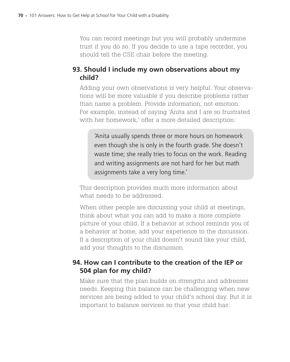You can record meetings but you will probably undermine trust if you do so. If you decide to use a tape recorder, you should tell the CSE chair before the meeting.

### **93. Should I include my own observations about my child?**

Adding your own observations is very helpful. Your observations will be more valuable if you describe problems rather than name a problem. Provide information, not emotion. For example, instead of saying 'Anita and I are so frustrated with her homework,' offer a more detailed description:

'Anita usually spends three or more hours on homework even though she is only in the fourth grade. She doesn't waste time; she really tries to focus on the work. Reading and writing assignments are not hard for her but math assignments take a very long time.'

This description provides much more information about what needs to be addressed.

When other people are discussing your child at meetings, think about what you can add to make a more complete picture of your child. If a behavior at school reminds you of a behavior at home, add your experience to the discussion. If a description of your child doesn't sound like your child, add your thoughts to the discussion.

### **94. How can I contribute to the creation of the IEP or 504 plan for my child?**

Make sure that the plan builds on strengths and addresses needs. Keeping this balance can be challenging when new services are being added to your child's school day. But it is important to balance services so that your child has: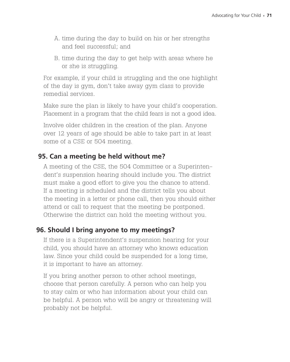- A. time during the day to build on his or her strengths and feel successful; and
- B. time during the day to get help with areas where he or she is struggling.

For example, if your child is struggling and the one highlight of the day is gym, don't take away gym class to provide remedial services.

Make sure the plan is likely to have your child's cooperation. Placement in a program that the child fears is not a good idea.

Involve older children in the creation of the plan. Anyone over 12 years of age should be able to take part in at least some of a CSE or 504 meeting.

### **95. Can a meeting be held without me?**

A meeting of the CSE, the 504 Committee or a Superintendent's suspension hearing should include you. The district must make a good effort to give you the chance to attend. If a meeting is scheduled and the district tells you about the meeting in a letter or phone call, then you should either attend or call to request that the meeting be postponed. Otherwise the district can hold the meeting without you.

### **96. Should I bring anyone to my meetings?**

If there is a Superintendent's suspension hearing for your child, you should have an attorney who knows education law. Since your child could be suspended for a long time, it is important to have an attorney.

If you bring another person to other school meetings, choose that person carefully. A person who can help you to stay calm or who has information about your child can be helpful. A person who will be angry or threatening will probably not be helpful.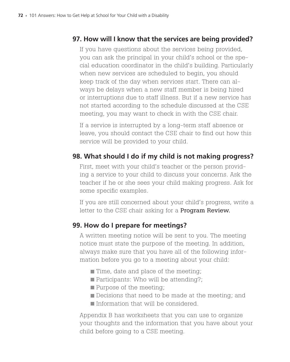### **97. How will I know that the services are being provided?**

If you have questions about the services being provided, you can ask the principal in your child's school or the special education coordinator in the child's building. Particularly when new services are scheduled to begin, you should keep track of the day when services start. There can always be delays when a new staff member is being hired or interruptions due to staff illness. But if a new service has not started according to the schedule discussed at the CSE meeting, you may want to check in with the CSE chair.

If a service is interrupted by a long-term staff absence or leave, you should contact the CSE chair to find out how this service will be provided to your child.

### **98. What should I do if my child is not making progress?**

First, meet with your child's teacher or the person providing a service to your child to discuss your concerns. Ask the teacher if he or she sees your child making progress. Ask for some specific examples.

If you are still concerned about your child's progress, write a letter to the CSE chair asking for a **Program Review.** 

### **99. How do I prepare for meetings?**

A written meeting notice will be sent to you. The meeting notice must state the purpose of the meeting. In addition, always make sure that you have all of the following information before you go to a meeting about your child:

- **Time, date and place of the meeting;**
- **Participants: Who will be attending?;**
- **Purpose of the meeting;**
- Decisions that need to be made at the meeting; and
- Information that will be considered.

Appendix B has worksheets that you can use to organize your thoughts and the information that you have about your child before going to a CSE meeting.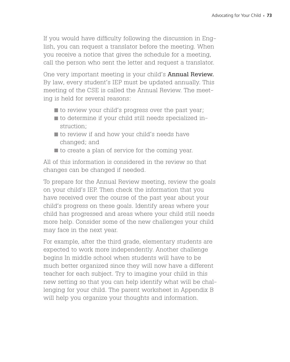If you would have difficulty following the discussion in English, you can request a translator before the meeting. When you receive a notice that gives the schedule for a meeting, call the person who sent the letter and request a translator.

One very important meeting is your child's **Annual Review.** By law, every student's IEP must be updated annually. This meeting of the CSE is called the Annual Review. The meeting is held for several reasons:

- $\blacksquare$  to review your child's progress over the past year;
- to determine if your child still needs specialized instruction;
- to review if and how your child's needs have changed; and
- $\blacksquare$  to create a plan of service for the coming year.

All of this information is considered in the review so that changes can be changed if needed.

To prepare for the Annual Review meeting, review the goals on your child's IEP. Then check the information that you have received over the course of the past year about your child's progress on these goals. Identify areas where your child has progressed and areas where your child still needs more help. Consider some of the new challenges your child may face in the next year.

For example, after the third grade, elementary students are expected to work more independently. Another challenge begins In middle school when students will have to be much better organized since they will now have a different teacher for each subject. Try to imagine your child in this new setting so that you can help identify what will be challenging for your child. The parent worksheet in Appendix B will help you organize your thoughts and information.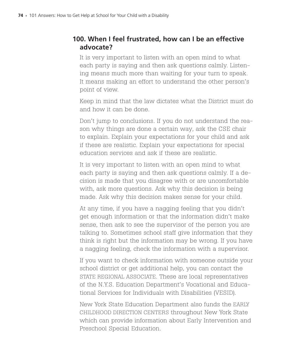### **100. When I feel frustrated, how can I be an effective advocate?**

It is very important to listen with an open mind to what each party is saying and then ask questions calmly. Listening means much more than waiting for your turn to speak. It means making an effort to understand the other person's point of view.

Keep in mind that the law dictates what the District must do and how it can be done.

Don't jump to conclusions. If you do not understand the reason why things are done a certain way, ask the CSE chair to explain. Explain your expectations for your child and ask if these are realistic. Explain your expectations for special education services and ask if these are realistic.

It is very important to listen with an open mind to what each party is saying and then ask questions calmly. If a decision is made that you disagree with or are uncomfortable with, ask more questions. Ask why this decision is being made. Ask why this decision makes sense for your child.

At any time, if you have a nagging feeling that you didn't get enough information or that the information didn't make sense, then ask to see the supervisor of the person you are talking to. Sometimes school staff give information that they think is right but the information may be wrong. If you have a nagging feeling, check the information with a supervisor.

If you want to check information with someone outside your school district or get additional help, you can contact the STATE REGIONAL ASSOCIATE. These are local representatives of the N.Y.S. Education Department's Vocational and Educational Services for Individuals with Disabilities (VESID).

New York State Education Department also funds the Early CHILDHOOD DIRECTION CENTERS throughout New York State which can provide information about Early Intervention and Preschool Special Education.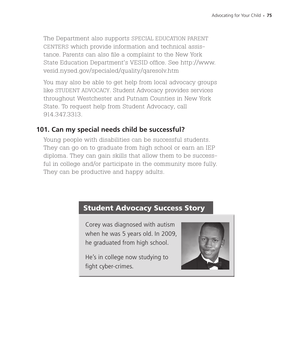The Department also supports SPECIAL EDUCATION PARENT CENTERS which provide information and technical assistance. Parents can also file a complaint to the New York State Education Department's VESID office. See http://www. vesid.nysed.gov/specialed/quality/qaresolv.htm

You may also be able to get help from local advocacy groups like Student Advocacy. Student Advocacy provides services throughout Westchester and Putnam Counties in New York State. To request help from Student Advocacy, call 914.347.3313.

### **101. Can my special needs child be successful?**

Young people with disabilities can be successful students. They can go on to graduate from high school or earn an IEP diploma. They can gain skills that allow them to be successful in college and/or participate in the community more fully. They can be productive and happy adults.

### Student Advocacy Success Story

Corey was diagnosed with autism when he was 5 years old. In 2009, he graduated from high school.

He's in college now studying to fight cyber-crimes.

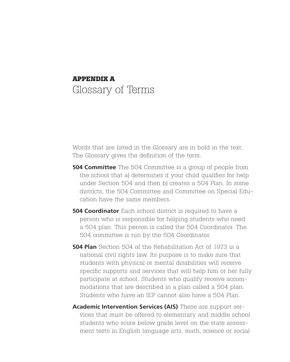# **Appendix A** Glossary of Terms

Words that are listed in the Glossary are in bold in the text. The Glossary gives the definition of the term.

- **504 Committee** The 504 Committee is a group of people from the school that a) determines if your child qualifies for help under Section 504 and then b) creates a 504 Plan. In some districts, the 504 Committee and Committee on Special Education have the same members.
- **504 Coordinator** Each school district is required to have a person who is responsible for helping students who need a 504 plan. This person is called the 504 Coordinator. The 504 committee is run by the 504 Coordinator.
- **504 Plan** Section 504 of the Rehabilitation Act of 1973 is a national civil rights law. Its purpose is to make sure that students with physical or mental disabilities will receive specific supports and services that will help him or her fully participate at school. Students who qualify receive accommodations that are described in a plan called a 504 plan. Students who have an IEP cannot also have a 504 Plan.
- **Academic Intervention Services (AIS)** These are support services that must be offered to elementary and middle school students who score below grade level on the state assessment tests in English language arts, math, science or social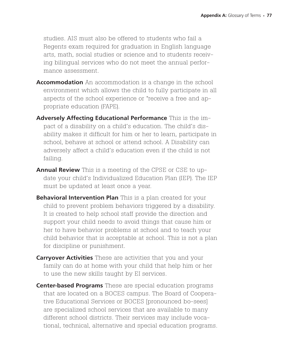studies. AIS must also be offered to students who fail a Regents exam required for graduation in English language arts, math, social studies or science and to students receiving bilingual services who do not meet the annual performance assessment.

- **Accommodation** An accommodation is a change in the school environment which allows the child to fully participate in all aspects of the school experience or "receive a free and appropriate education (FAPE).
- **Adversely Affecting Educational Performance** This is the impact of a disability on a child's education. The child's disability makes it difficult for him or her to learn, participate in school, behave at school or attend school. A Disability can adversely affect a child's education even if the child is not failing.
- **Annual Review** This is a meeting of the CPSE or CSE to update your child's Individualized Education Plan (IEP). The IEP must be updated at least once a year.
- **Behavioral Intervention Plan** This is a plan created for your child to prevent problem behaviors triggered by a disability. It is created to help school staff provide the direction and support your child needs to avoid things that cause him or her to have behavior problems at school and to teach your child behavior that is acceptable at school. This is not a plan for discipline or punishment.
- **Carryover Activities** These are activities that you and your family can do at home with your child that help him or her to use the new skills taught by EI services.
- **Center-based Programs** These are special education programs that are located on a BOCES campus. The Board of Cooperative Educational Services or BOCES [pronounced bo-sees] are specialized school services that are available to many different school districts. Their services may include vocational, technical, alternative and special education programs.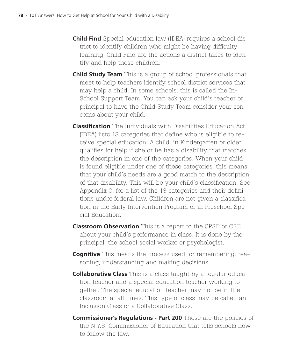- **Child Find** Special education law (IDEA) requires a school district to identify children who might be having difficulty learning. Child Find are the actions a district takes to identify and help those children.
- **Child Study Team** This is a group of school professionals that meet to help teachers identify school district services that may help a child. In some schools, this is called the In-School Support Team. You can ask your child's teacher or principal to have the Child Study Team consider your concerns about your child.
- **Classification** The Individuals with Disabilities Education Act (IDEA) lists 13 categories that define who is eligible to receive special education. A child, in Kindergarten or older, qualifies for help if she or he has a disability that matches the description in one of the categories. When your child is found eligible under one of these categories, this means that your child's needs are a good match to the description of that disability. This will be your child's classification. See Appendix C, for a list of the 13 categories and their definitions under federal law. Children are not given a classification in the Early Intervention Program or in Preschool Special Education.
- **Classroom Observation** This is a report to the CPSE or CSE about your child's performance in class. It is done by the principal, the school social worker or psychologist.
- **Cognitive** This means the process used for remembering, reasoning, understanding and making decisions.
- **Collaborative Class** This is a class taught by a regular education teacher and a special education teacher working together. The special education teacher may not be in the classroom at all times. This type of class may be called an Inclusion Class or a Collaborative Class.
- **Commissioner's Regulations Part 200** These are the policies of the N.Y.S. Commissioner of Education that tells schools how to follow the law.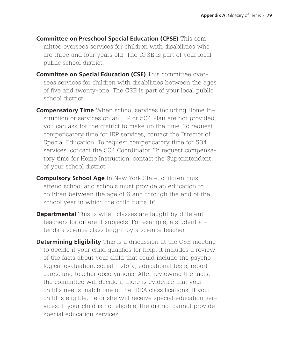- **Committee on Preschool Special Education (CPSE)** This committee oversees services for children with disabilities who are three and four years old. The CPSE is part of your local public school district.
- **Committee on Special Education (CSE)** This committee oversees services for children with disabilities between the ages of five and twenty-one. The CSE is part of your local public school district.
- **Compensatory Time** When school services including Home Instruction or services on an IEP or 504 Plan are not provided, you can ask for the district to make up the time. To request compensatory time for IEP services, contact the Director of Special Education. To request compensatory time for 504 services, contact the 504 Coordinator. To request compensatory time for Home Instruction, contact the Superintendent of your school district.
- **Compulsory School Age** In New York State, children must attend school and schools must provide an education to children between the age of 6 and through the end of the school year in which the child turns 16.
- **Departmental** This is when classes are taught by different teachers for different subjects. For example, a student attends a science class taught by a science teacher.
- **Determining Eligibility** This is a discussion at the CSE meeting to decide if your child qualifies for help. It includes a review of the facts about your child that could include the psychological evaluation, social history, educational tests, report cards, and teacher observations. After reviewing the facts, the committee will decide if there is evidence that your child's needs match one of the IDEA classifications. If your child is eligible, he or she will receive special education services. If your child is not eligible, the district cannot provide special education services.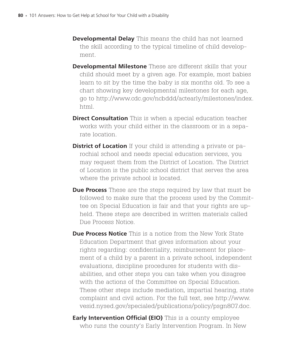- **Developmental Delay** This means the child has not learned the skill according to the typical timeline of child development.
- **Developmental Milestone** These are different skills that your child should meet by a given age. For example, most babies learn to sit by the time the baby is six months old. To see a chart showing key developmental milestones for each age, go to http://www.cdc.gov/ncbddd/actearly/milestones/index. html.
- **Direct Consultation** This is when a special education teacher works with your child either in the classroom or in a separate location.
- **District of Location** If your child is attending a private or parochial school and needs special education services, you may request them from the District of Location. The District of Location is the public school district that serves the area where the private school is located.
- **Due Process** These are the steps required by law that must be followed to make sure that the process used by the Committee on Special Education is fair and that your rights are upheld. These steps are described in written materials called Due Process Notice.
- **Due Process Notice** This is a notice from the New York State Education Department that gives information about your rights regarding: confidentiality, reimbursement for placement of a child by a parent in a private school, independent evaluations, discipline procedures for students with disabilities, and other steps you can take when you disagree with the actions of the Committee on Special Education. These other steps include mediation, impartial hearing, state complaint and civil action. For the full text, see http://www. vesid.nysed.gov/specialed/publications/policy/psgn807.doc.
- **Early Intervention Official (EIO)** This is a county employee who runs the county's Early Intervention Program. In New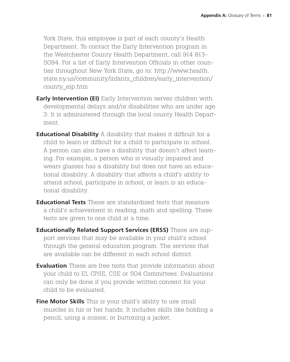York State, this employee is part of each county's Health Department. To contact the Early Intervention program in the Westchester County Health Department, call 914 813- 5094. For a list of Early Intervention Officials in other counties throughout New York State, go to: http://www.health. state.ny.us/community/infants\_children/early\_intervention/ county\_eip.htm

- **Early Intervention (EI)** Early Intervention serves children with developmental delays and/or disabilities who are under age 3. It is administered through the local county Health Department.
- **Educational Disability** A disability that makes it difficult for a child to learn or difficult for a child to participate in school. A person can also have a disability that doesn't affect learning. For example, a person who is visually impaired and wears glasses has a disability but does not have an educational disability. A disability that affects a child's ability to attend school, participate in school, or learn is an educational disability.
- **Educational Tests** These are standardized tests that measure a child's achievement in reading, math and spelling. These tests are given to one child at a time.
- **Educationally Related Support Services (ERSS)** These are support services that may be available in your child's school through the general education program. The services that are available can be different in each school district.
- **Evaluation** These are free tests that provide information about your child to EI, CPSE, CSE or 504 Committees. Evaluations can only be done if you provide written consent for your child to be evaluated.
- **Fine Motor Skills** This is your child's ability to use small muscles in his or her hands. It includes skills like holding a pencil, using a scissor, or buttoning a jacket.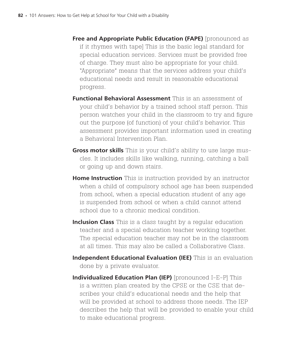- **Free and Appropriate Public Education (FAPE)** [pronounced as if it rhymes with tape] This is the basic legal standard for special education services. Services must be provided free of charge. They must also be appropriate for your child. "Appropriate" means that the services address your child's educational needs and result in reasonable educational progress.
- **Functional Behavioral Assessment** This is an assessment of your child's behavior by a trained school staff person. This person watches your child in the classroom to try and figure out the purpose (of function) of your child's behavior. This assessment provides important information used in creating a Behavioral Intervention Plan.
- **Gross motor skills** This is your child's ability to use large muscles. It includes skills like walking, running, catching a ball or going up and down stairs.
- **Home Instruction** This is instruction provided by an instructor when a child of compulsory school age has been suspended from school, when a special education student of any age is suspended from school or when a child cannot attend school due to a chronic medical condition.
- **Inclusion Class** This is a class taught by a regular education teacher and a special education teacher working together. The special education teacher may not be in the classroom at all times. This may also be called a Collaborative Class.
- **Independent Educational Evaluation (IEE)** This is an evaluation done by a private evaluator.
- **Individualized Education Plan (IEP)** [pronounced I-E-P] This is a written plan created by the CPSE or the CSE that describes your child's educational needs and the help that will be provided at school to address those needs. The IEP describes the help that will be provided to enable your child to make educational progress.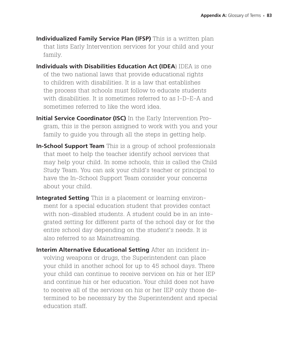- **Individualized Family Service Plan (IFSP)** This is a written plan that lists Early Intervention services for your child and your family.
- **Individuals with Disabilities Education Act (IDEA**) IDEA is one of the two national laws that provide educational rights to children with disabilities. It is a law that establishes the process that schools must follow to educate students with disabilities. It is sometimes referred to as I-D-E-A and sometimes referred to like the word idea.
- **Initial Service Coordinator (ISC)** In the Early Intervention Program, this is the person assigned to work with you and your family to guide you through all the steps in getting help.
- **In-School Support Team** This is a group of school professionals that meet to help the teacher identify school services that may help your child. In some schools, this is called the Child Study Team. You can ask your child's teacher or principal to have the In-School Support Team consider your concerns about your child.
- **Integrated Setting** This is a placement or learning environment for a special education student that provides contact with non-disabled students. A student could be in an integrated setting for different parts of the school day or for the entire school day depending on the student's needs. It is also referred to as Mainstreaming.
- **Interim Alternative Educational Setting** After an incident involving weapons or drugs, the Superintendent can place your child in another school for up to 45 school days. There your child can continue to receive services on his or her IEP and continue his or her education. Your child does not have to receive all of the services on his or her IEP only those determined to be necessary by the Superintendent and special education staff.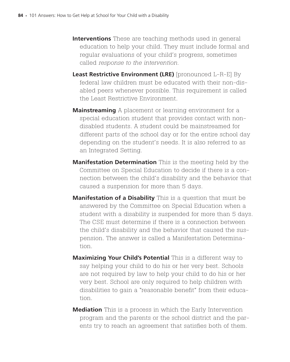- **Interventions** These are teaching methods used in general education to help your child. They must include formal and regular evaluations of your child's progress, sometimes called *response to the intervention.*
- **Least Restrictive Environment (LRE)** [pronounced L-R-E] By federal law children must be educated with their non-disabled peers whenever possible. This requirement is called the Least Restrictive Environment.
- **Mainstreaming** A placement or learning environment for a special education student that provides contact with nondisabled students. A student could be mainstreamed for different parts of the school day or for the entire school day depending on the student's needs. It is also referred to as an Integrated Setting.
- **Manifestation Determination** This is the meeting held by the Committee on Special Education to decide if there is a connection between the child's disability and the behavior that caused a suspension for more than 5 days.
- **Manifestation of a Disability** This is a question that must be answered by the Committee on Special Education when a student with a disability is suspended for more than 5 days. The CSE must determine if there is a connection between the child's disability and the behavior that caused the suspension. The answer is called a Manifestation Determination.
- **Maximizing Your Child's Potential** This is a different way to say helping your child to do his or her very best. Schools are not required by law to help your child to do his or her very best. School are only required to help children with disabilities to gain a "reasonable benefit" from their education.
- **Mediation** This is a process in which the Early Intervention program and the parents or the school district and the parents try to reach an agreement that satisfies both of them.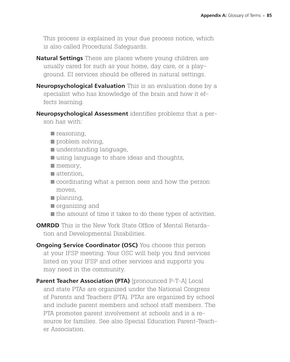This process is explained in your due process notice, which is also called Procedural Safeguards.

- **Natural Settings** These are places where young children are usually cared for such as your home, day care, or a playground. EI services should be offered in natural settings.
- **Neuropsychological Evaluation** This is an evaluation done by a specialist who has knowledge of the brain and how it effects learning.
- **Neuropsychological Assessment** identifies problems that a person has with:
	- $\blacksquare$  reasoning,
	- problem solving,
	- understanding language,
	- using language to share ideas and thoughts,
	- $\blacksquare$  memory,
	- attention.
	- coordinating what a person sees and how the person moves,
	- planning,
	- organizing and
	- $\blacksquare$  the amount of time it takes to do these types of activities.

**OMRDD** This is the New York State Office of Mental Retardation and Developmental Disabilities.

**Ongoing Service Coordinator (OSC)** You choose this person at your IFSP meeting. Your OSC will help you find services listed on your IFSP and other services and supports you may need in the community.

**Parent Teacher Association (PTA)** [pronounced P-T-A] Local and state PTAs are organized under the National Congress of Parents and Teachers (PTA). PTAs are organized by school and include parent members and school staff members. The PTA promotes parent involvement at schools and is a resource for families. See also Special Education Parent-Teacher Association.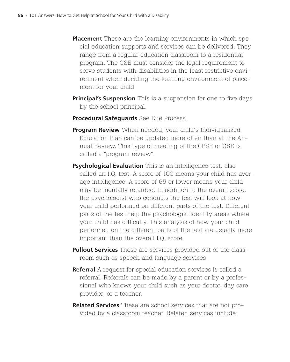- **Placement** These are the learning environments in which special education supports and services can be delivered. They range from a regular education classroom to a residential program. The CSE must consider the legal requirement to serve students with disabilities in the least restrictive environment when deciding the learning environment of placement for your child.
- **Principal's Suspension** This is a suspension for one to five days by the school principal.
- **Procedural Safeguards** See Due Process.
- **Program Review** When needed, your child's Individualized Education Plan can be updated more often than at the Annual Review. This type of meeting of the CPSE or CSE is called a "program review".
- **Psychological Evaluation** This is an intelligence test, also called an I.Q. test. A score of 100 means your child has average intelligence. A score of 65 or lower means your child may be mentally retarded. In addition to the overall score, the psychologist who conducts the test will look at how your child performed on different parts of the test. Different parts of the test help the psychologist identify areas where your child has difficulty. This analysis of how your child performed on the different parts of the test are usually more important than the overall I.Q. score.
- **Pullout Services** These are services provided out of the classroom such as speech and language services.
- **Referral** A request for special education services is called a referral. Referrals can be made by a parent or by a professional who knows your child such as your doctor, day care provider, or a teacher.
- **Related Services** These are school services that are not provided by a classroom teacher. Related services include: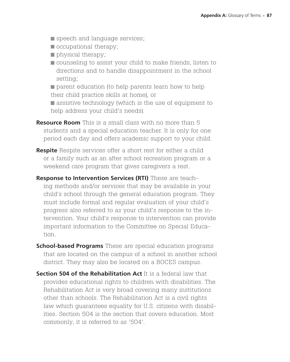- speech and language services;
- $\blacksquare$  occupational therapy;
- physical therapy;
- counseling to assist your child to make friends, listen to directions and to handle disappointment in the school setting;

**parent education (to help parents learn how to help** their child practice skills at home), or

**assistive technology (which is the use of equipment to** help address your child's needs).

- **Resource Room** This is a small class with no more than 5 students and a special education teacher. It is only for one period each day and offers academic support to your child.
- **Respite** Respite services offer a short rest for either a child or a family such as an after school recreation program or a weekend care program that gives caregivers a rest.
- **Response to Intervention Services (RTI)** These are teaching methods and/or services that may be available in your child's school through the general education program. They must include formal and regular evaluation of your child's progress also referred to as your child's response to the intervention. Your child's response to intervention can provide important information to the Committee on Special Education.
- **School-based Programs** These are special education programs that are located on the campus of a school in another school district. They may also be located on a BOCES campus.
- **Section 504 of the Rehabilitation Act** It is a federal law that provides educational rights to children with disabilities. The Rehabilitation Act is very broad covering many institutions other than schools. The Rehabilitation Act is a civil rights law which guarantees equality for U.S. citizens with disabilities. Section 504 is the section that covers education. Most commonly, it is referred to as '504'.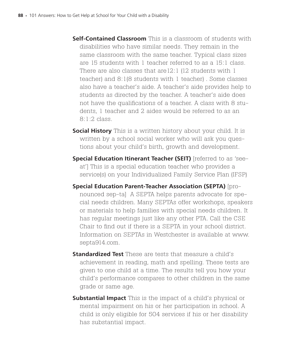- **Self-Contained Classroom** This is a classroom of students with disabilities who have similar needs. They remain in the same classroom with the same teacher. Typical class sizes are 15 students with 1 teacher referred to as a 15:1 class. There are also classes that are12:1 (12 students with 1 teacher) and 8:1(8 students with 1 teacher) . Some classes also have a teacher's aide. A teacher's aide provides help to students as directed by the teacher. A teacher's aide does not have the qualifications of a teacher. A class with 8 students, 1 teacher and 2 aides would be referred to as an 8:1:2 class.
- **Social History** This is a written history about your child. It is written by a school social worker who will ask you questions about your child's birth, growth and development.
- **Special Education Itinerant Teacher (SEIT)** [referred to as 'seeat'] This is a special education teacher who provides a service(s) on your Individualized Family Service Plan (IFSP)
- **Special Education Parent-Teacher Association (SEPTA)** [pronounced sep-ta] A SEPTA helps parents advocate for special needs children. Many SEPTAs offer workshops, speakers or materials to help families with special needs children. It has regular meetings just like any other PTA. Call the CSE Chair to find out if there is a SEPTA in your school district. Information on SEPTAs in Westchester is available at www. septa914.com.
- **Standardized Test** These are tests that measure a child's achievement in reading, math and spelling. These tests are given to one child at a time. The results tell you how your child's performance compares to other children in the same grade or same age.
- **Substantial Impact** This is the impact of a child's physical or mental impairment on his or her participation in school. A child is only eligible for 504 services if his or her disability has substantial impact.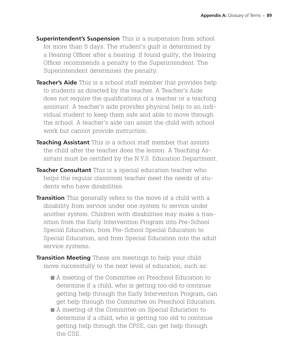- **Superintendent's Suspension** This is a suspension from school for more than 5 days. The student's guilt is determined by a Hearing Officer after a hearing. If found guilty, the Hearing Officer recommends a penalty to the Superintendent. The Superintendent determines the penalty.
- **Teacher's Aide** This is a school staff member that provides help to students as directed by the teacher. A Teacher's Aide does not require the qualifications of a teacher or a teaching assistant. A teacher's aide provides physical help to an individual student to keep them safe and able to move through the school. A teacher's aide can assist the child with school work but cannot provide instruction.
- **Teaching Assistant** This is a school staff member that assists the child after the teacher does the lesson. A Teaching Assistant must be certified by the N.Y.S. Education Department.
- **Teacher Consultant** This is a special education teacher who helps the regular classroom teacher meet the needs of students who have disabilities.
- **Transition** This generally refers to the move of a child with a disability from service under one system to service under another system. Children with disabilities may make a transition from the Early Intervention Program into Pre-School Special Education, from Pre-School Special Education to Special Education, and from Special Education into the adult service systems.
- **Transition Meeting** These are meetings to help your child move successfully to the next level of education, such as:
	- A meeting of the Committee on Preschool Education to determine if a child, who is getting too old to continue getting help through the Early Intervention Program, can get help through the Committee on Preschool Education.
	- A meeting of the Committee on Special Education to determine if a child, who is getting too old to continue getting help through the CPSE, can get help through the CSE.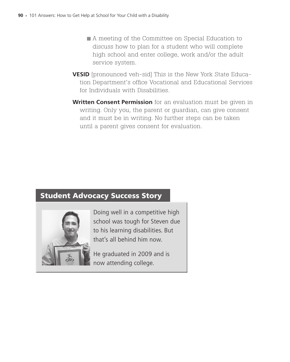- A meeting of the Committee on Special Education to discuss how to plan for a student who will complete high school and enter college, work and/or the adult service system.
- **VESID** [pronounced veh-sid] This is the New York State Education Department's office Vocational and Educational Services for Individuals with Disabilities.
- **Written Consent Permission** for an evaluation must be given in writing. Only you, the parent or guardian, can give consent and it must be in writing. No further steps can be taken until a parent gives consent for evaluation.

# Student Advocacy Success Story



Doing well in a competitive high school was tough for Steven due to his learning disabilities. But that's all behind him now.

He graduated in 2009 and is now attending college.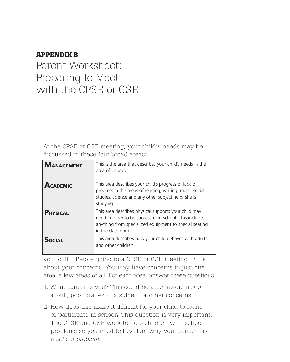### **Appendix B**

Parent Worksheet: Preparing to Meet with the CPSE or CSE

At the CPSE or CSE meeting, your child's needs may be discussed in these four broad areas:

| <b>MANAGEMENT</b> | This is the area that describes your child's needs in the<br>area of behavior.                                                                                                                 |
|-------------------|------------------------------------------------------------------------------------------------------------------------------------------------------------------------------------------------|
| <b>ACADEMIC</b>   | This area describes your child's progress or lack of<br>progress in the areas of reading, writing, math, social<br>studies, science and any other subject he or she is<br>studying.            |
| <b>PHYSICAL</b>   | This area describes physical supports your child may<br>need in order to be successful in school. This includes<br>anything from specialized equipment to special seating<br>in the classroom. |
| <b>SOCIAL</b>     | This area describes how your child behaves with adults<br>and other children.                                                                                                                  |

your child. Before going to a CPSE or CSE meeting, think about your concerns. You may have concerns in just one area, a few areas or all. For each area, answer these questions:

- 1. What concerns you? This could be a behavior, lack of a skill, poor grades in a subject or other concerns.
- 2. How does this make it difficult for your child to learn or participate in school? This question is very important. The CPSE and CSE work to help children with school problems so you must tell explain why your concern is a *school problem*.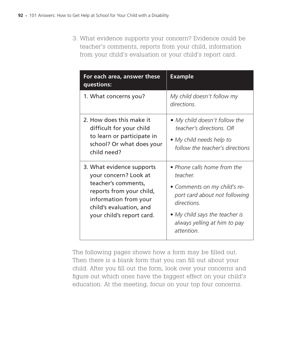3. What evidence supports your concern? Evidence could be teacher's comments, reports from your child, information from your child's evaluation or your child's report card.

| For each area, answer these<br>questions:                                                                                                                                              | <b>Example</b>                                                                                                                                                                                          |
|----------------------------------------------------------------------------------------------------------------------------------------------------------------------------------------|---------------------------------------------------------------------------------------------------------------------------------------------------------------------------------------------------------|
| 1. What concerns you?                                                                                                                                                                  | My child doesn't follow my<br>directions.                                                                                                                                                               |
| 2. How does this make it<br>difficult for your child<br>to learn or participate in<br>school? Or what does your<br>child need?                                                         | • My child doesn't follow the<br>teacher's directions. OR<br>• My child needs help to<br>follow the teacher's directions                                                                                |
| 3. What evidence supports<br>your concern? Look at<br>teacher's comments,<br>reports from your child,<br>information from your<br>child's evaluation, and<br>your child's report card. | • Phone calls home from the<br>teacher.<br>• Comments on my child's re-<br>port card about not following<br>directions.<br>• My child says the teacher is<br>always yelling at him to pay<br>attention. |

The following pages shows how a form may be filled out. Then there is a blank form that you can fill out about your child. After you fill out the form, look over your concerns and figure out which ones have the biggest effect on your child's education. At the meeting, focus on your top four concerns.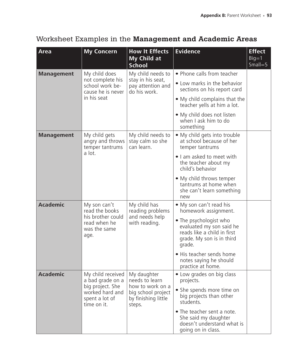## Worksheet Examples in the Management and Academic Areas

| <b>Area</b>                                                                                                 | <b>My Concern</b>                                                                           | <b>How It Effects</b><br>My Child at<br><b>School</b>                       | <b>Evidence</b>                                                                                                          | <b>Effect</b><br>$Big=1$<br>$Small = 5$ |
|-------------------------------------------------------------------------------------------------------------|---------------------------------------------------------------------------------------------|-----------------------------------------------------------------------------|--------------------------------------------------------------------------------------------------------------------------|-----------------------------------------|
| <b>Management</b>                                                                                           | My child does                                                                               | My child needs to<br>stay in his seat,<br>pay attention and<br>do his work. | • Phone calls from teacher                                                                                               |                                         |
|                                                                                                             | not complete his<br>school work be-<br>cause he is never                                    |                                                                             | • Low marks in the behavior<br>sections on his report card                                                               |                                         |
|                                                                                                             | in his seat                                                                                 |                                                                             | • My child complains that the<br>teacher yells at him a lot.                                                             |                                         |
|                                                                                                             |                                                                                             |                                                                             | • My child does not listen<br>when I ask him to do<br>something                                                          |                                         |
| <b>Management</b>                                                                                           | My child gets<br>angry and throws<br>temper tantrums                                        | My child needs to<br>stay calm so she<br>can learn.                         | • My child gets into trouble<br>at school because of her<br>temper tantrums                                              |                                         |
|                                                                                                             | a lot.                                                                                      |                                                                             | . I am asked to meet with<br>the teacher about my<br>child's behavior                                                    |                                         |
|                                                                                                             |                                                                                             |                                                                             | • My child throws temper<br>tantrums at home when<br>she can't learn something<br>new                                    |                                         |
| <b>Academic</b>                                                                                             | My son can't<br>read the books<br>his brother could<br>read when he<br>was the same<br>age. | My child has<br>reading problems<br>and needs help<br>with reading.         | • My son can't read his<br>homework assignment.                                                                          |                                         |
|                                                                                                             |                                                                                             |                                                                             | • The psychologist who<br>evaluated my son said he<br>reads like a child in first<br>grade. My son is in third<br>grade. |                                         |
|                                                                                                             |                                                                                             |                                                                             | • His teacher sends home<br>notes saying he should<br>practice at home.                                                  |                                         |
| <b>Academic</b><br>a bad grade on a<br>big project. She<br>worked hard and<br>spent a lot of<br>time on it. | My child received                                                                           | My daughter<br>needs to learn                                               | • Low grades on big class<br>projects.                                                                                   |                                         |
|                                                                                                             | how to work on a<br>big school project<br>by finishing little<br>steps.                     | • She spends more time on<br>big projects than other<br>students.           |                                                                                                                          |                                         |
|                                                                                                             |                                                                                             |                                                                             | • The teacher sent a note.<br>She said my daughter<br>doesn't understand what is<br>going on in class.                   |                                         |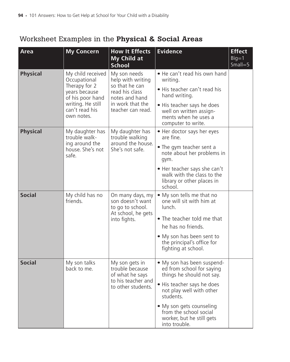# Worksheet Examples in the Physical & Social Areas

| Area            | <b>My Concern</b>                                                                                                                            | <b>How It Effects</b><br>My Child at<br><b>School</b>                                                                            | <b>Evidence</b>                                                                                                                                                                                                                                                 | <b>Effect</b><br>$Big=1$<br>$Small = 5$ |
|-----------------|----------------------------------------------------------------------------------------------------------------------------------------------|----------------------------------------------------------------------------------------------------------------------------------|-----------------------------------------------------------------------------------------------------------------------------------------------------------------------------------------------------------------------------------------------------------------|-----------------------------------------|
| <b>Physical</b> | My child received<br>Occupational<br>Therapy for 2<br>years because<br>of his poor hand<br>writing. He still<br>can't read his<br>own notes. | My son needs<br>help with writing<br>so that he can<br>read his class<br>notes and hand<br>in work that the<br>teacher can read. | • He can't read his own hand<br>writing.<br>• His teacher can't read his<br>hand writing.<br>• His teacher says he does<br>well on written assign-<br>ments when he uses a<br>computer to write.                                                                |                                         |
| <b>Physical</b> | My daughter has<br>trouble walk-<br>ing around the<br>house. She's not<br>safe.                                                              | My daughter has<br>trouble walking<br>around the house.<br>She's not safe.                                                       | • Her doctor says her eyes<br>are fine.<br>• The gym teacher sent a<br>note about her problems in<br>gym.<br>• Her teacher says she can't<br>walk with the class to the<br>library or other places in<br>school.                                                |                                         |
| <b>Social</b>   | My child has no<br>friends.                                                                                                                  | On many days, my<br>son doesn't want<br>to go to school.<br>At school, he gets<br>into fights.                                   | • My son tells me that no<br>one will sit with him at<br>lunch.<br>• The teacher told me that<br>he has no friends.<br>• My son has been sent to<br>the principal's office for<br>fighting at school.                                                           |                                         |
| <b>Social</b>   | My son talks<br>back to me.                                                                                                                  | My son gets in<br>trouble because<br>of what he says<br>to his teacher and<br>to other students.                                 | • My son has been suspend-<br>ed from school for saying<br>things he should not say.<br>• His teacher says he does<br>not play well with other<br>students.<br>• My son gets counseling<br>from the school social<br>worker, but he still gets<br>into trouble. |                                         |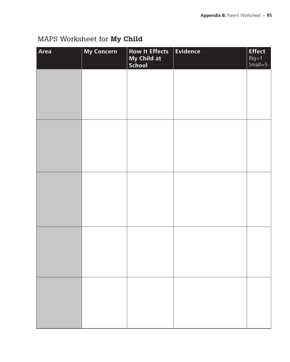# MAPS Worksheet for My Child

| Area | <b>My Concern</b> | <b>How It Effects</b><br>My Child at<br>School | $\vert$ Evidence | <b>Effect</b><br>Big=1<br>Small=5 |
|------|-------------------|------------------------------------------------|------------------|-----------------------------------|
|      |                   |                                                |                  |                                   |
|      |                   |                                                |                  |                                   |
|      |                   |                                                |                  |                                   |
|      |                   |                                                |                  |                                   |
|      |                   |                                                |                  |                                   |
|      |                   |                                                |                  |                                   |
|      |                   |                                                |                  |                                   |
|      |                   |                                                |                  |                                   |
|      |                   |                                                |                  |                                   |
|      |                   |                                                |                  |                                   |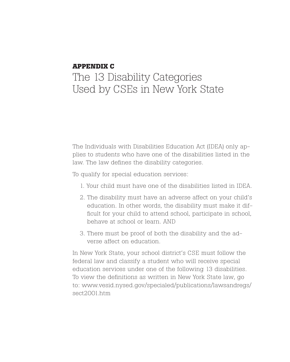### **Appendix C**

# The 13 Disability Categories Used by CSEs in New York State

The Individuals with Disabilities Education Act (IDEA) only applies to students who have one of the disabilities listed in the law. The law defines the disability categories.

To qualify for special education services:

- 1. Your child must have one of the disabilities listed in IDEA.
- 2. The disability must have an adverse affect on your child's education. In other words, the disability must make it difficult for your child to attend school, participate in school, behave at school or learn. AND
- 3. There must be proof of both the disability and the adverse affect on education.

In New York State, your school district's CSE must follow the federal law and classify a student who will receive special education services under one of the following 13 disabilities. To view the definitions as written in New York State law, go to: www.vesid.nysed.gov/specialed/publications/lawsandregs/ sect2001.htm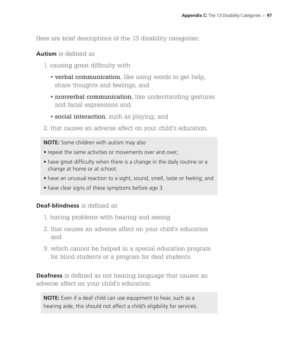Here are brief descriptions of the 13 disability categories:

#### **Autism** is defined as

- 1. causing great difficulty with
	- verbal communication, like using words to get help, share thoughts and feelings, and
	- nonverbal communication, like understanding gestures and facial expressions and
	- social interaction, such as playing; and
- 2. that causes an adverse affect on your child's education.

**NOTE:** Some children with autism may also

- repeat the same activities or movements over and over;
- have great difficulty when there is a change in the daily routine or a change at home or at school;
- have an unusual reaction to a sight, sound, smell, taste or feeling; and
- have clear signs of these symptoms before age 3.

#### **Deaf-blindness** is defined as

- 1. having problems with hearing and seeing
- 2. that causes an adverse affect on your child's education and
- 3. which cannot be helped in a special education program for blind students or a program for deaf students.

**Deafness** is defined as not hearing language that causes an adverse affect on your child's education.

**NOTE:** Even if a deaf child can use equipment to hear, such as a hearing aide, this should not affect a child's eligibility for services.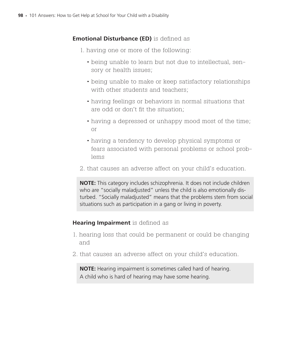## **Emotional Disturbance (ED)** is defined as

- 1. having one or more of the following:
	- being unable to learn but not due to intellectual, sensory or health issues;
	- being unable to make or keep satisfactory relationships with other students and teachers:
	- having feelings or behaviors in normal situations that are odd or don't fit the situation;
	- having a depressed or unhappy mood most of the time; or
	- having a tendency to develop physical symptoms or fears associated with personal problems or school problems
- 2. that causes an adverse affect on your child's education.

**NOTE:** This category includes schizophrenia. It does not include children who are "socially maladjusted" unless the child is also emotionally disturbed. "Socially maladjusted" means that the problems stem from social situations such as participation in a gang or living in poverty.

#### **Hearing Impairment** is defined as

- 1. hearing loss that could be permanent or could be changing and
- 2. that causes an adverse affect on your child's education.

**NOTE:** Hearing impairment is sometimes called hard of hearing. A child who is hard of hearing may have some hearing.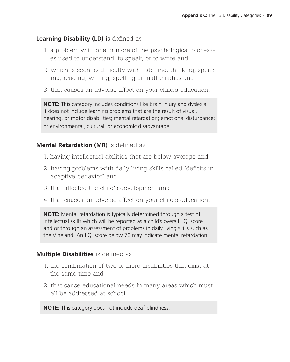#### **Learning Disability (LD)** is defined as

- 1. a problem with one or more of the psychological processes used to understand, to speak, or to write and
- 2. which is seen as difficulty with listening, thinking, speaking, reading, writing, spelling or mathematics and
- 3. that causes an adverse affect on your child's education.

**NOTE:** This category includes conditions like brain injury and dyslexia. It does not include learning problems that are the result of visual, hearing, or motor disabilities; mental retardation; emotional disturbance; or environmental, cultural, or economic disadvantage.

#### **Mental Retardation (MR**) is defined as

- 1. having intellectual abilities that are below average and
- 2. having problems with daily living skills called "deficits in adaptive behavior" and
- 3. that affected the child's development and
- 4. that causes an adverse affect on your child's education.

**NOTE:** Mental retardation is typically determined through a test of intellectual skills which will be reported as a child's overall I.Q. score and or through an assessment of problems in daily living skills such as the Vineland. An I.Q. score below 70 may indicate mental retardation.

#### **Multiple Disabilities** is defined as

- 1. the combination of two or more disabilities that exist at the same time and
- 2. that cause educational needs in many areas which must all be addressed at school.

**NOTE:** This category does not include deaf-blindness.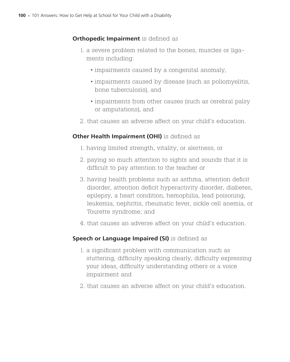### **Orthopedic Impairment** is defined as

- 1. a severe problem related to the bones, muscles or ligaments including:
	- impairments caused by a congenital anomaly,
	- impairments caused by disease (such as poliomyelitis, bone tuberculosis), and
	- impairments from other causes (such as cerebral palsy or amputations), and
- 2. that causes an adverse affect on your child's education.

## **Other Health Impairment (OHI)** is defined as

- 1. having limited strength, vitality, or alertness, or
- 2. paying so much attention to sights and sounds that it is difficult to pay attention to the teacher or
- 3. having health problems such as asthma, attention deficit disorder, attention deficit hyperactivity disorder, diabetes, epilepsy, a heart condition, hemophilia, lead poisoning, leukemia, nephritis, rheumatic fever, sickle cell anemia, or Tourette syndrome; and
- 4. that causes an adverse affect on your child's education.

#### **Speech or Language Impaired (SI)** is defined as

- 1. a significant problem with communication such as stuttering, difficulty speaking clearly, difficulty expressing your ideas, difficulty understanding others or a voice impairment and
- 2. that causes an adverse affect on your child's education.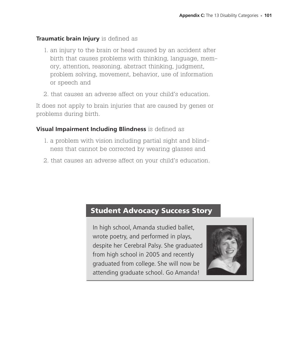#### **Traumatic brain Injury** is defined as

- 1. an injury to the brain or head caused by an accident after birth that causes problems with thinking, language, memory, attention, reasoning, abstract thinking, judgment, problem solving, movement, behavior, use of information or speech and
- 2. that causes an adverse affect on your child's education.

It does not apply to brain injuries that are caused by genes or problems during birth.

#### **Visual Impairment Including Blindness** is defined as

- 1. a problem with vision including partial sight and blindness that cannot be corrected by wearing glasses and
- 2. that causes an adverse affect on your child's education.

# Student Advocacy Success Story

In high school, Amanda studied ballet, wrote poetry, and performed in plays, despite her Cerebral Palsy. She graduated from high school in 2005 and recently graduated from college. She will now be attending graduate school. Go Amanda!

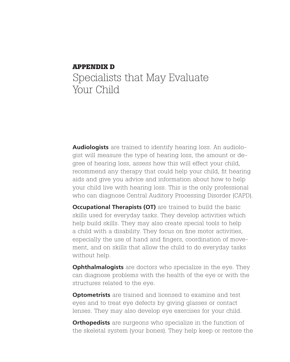# **Appendix D** Specialists that May Evaluate Your Child

**Audiologists** are trained to identify hearing loss. An audiologist will measure the type of hearing loss, the amount or degree of hearing loss, assess how this will effect your child, recommend any therapy that could help your child, fit hearing aids and give you advice and information about how to help your child live with hearing loss. This is the only professional who can diagnose Central Auditory Processing Disorder (CAPD).

**Occupational Therapists (OT)** are trained to build the basic skills used for everyday tasks. They develop activities which help build skills. They may also create special tools to help a child with a disability. They focus on fine motor activities, especially the use of hand and fingers, coordination of movement, and on skills that allow the child to do everyday tasks without help.

**Ophthalmalogists** are doctors who specialize in the eye. They can diagnose problems with the health of the eye or with the structures related to the eye.

**Optometrists** are trained and licensed to examine and test eyes and to treat eye defects by giving glasses or contact lenses. They may also develop eye exercises for your child.

**Orthopedists** are surgeons who specialize in the function of the skeletal system (your bones). They help keep or restore the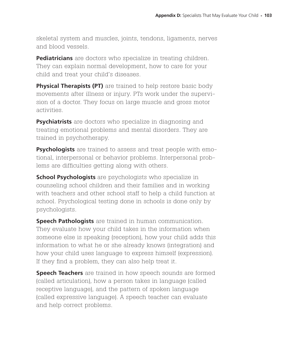skeletal system and muscles, joints, tendons, ligaments, nerves and blood vessels.

**Pediatricians** are doctors who specialize in treating children. They can explain normal development, how to care for your child and treat your child's diseases.

**Physical Therapists (PT)** are trained to help restore basic body movements after illness or injury. PTs work under the supervision of a doctor. They focus on large muscle and gross motor activities.

**Psychiatrists** are doctors who specialize in diagnosing and treating emotional problems and mental disorders. They are trained in psychotherapy.

**Psychologists** are trained to assess and treat people with emotional, interpersonal or behavior problems. Interpersonal problems are difficulties getting along with others.

**School Psychologists** are psychologists who specialize in counseling school children and their families and in working with teachers and other school staff to help a child function at school. Psychological testing done in schools is done only by psychologists.

**Speech Pathologists** are trained in human communication. They evaluate how your child takes in the information when someone else is speaking (reception), how your child adds this information to what he or she already knows (integration) and how your child uses language to express himself (expression). If they find a problem, they can also help treat it.

**Speech Teachers** are trained in how speech sounds are formed (called articulation), how a person takes in language (called receptive language), and the pattern of spoken language (called expressive language). A speech teacher can evaluate and help correct problems.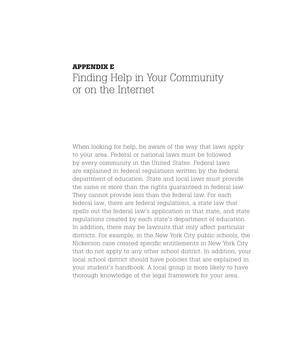# **Appendix e** Finding Help in Your Community or on the Internet

When looking for help, be aware of the way that laws apply to your area. Federal or national laws must be followed by every community in the United States. Federal laws are explained in federal regulations written by the federal department of education. State and local laws must provide the same or more than the rights guaranteed in federal law. They cannot provide less than the federal law. For each federal law, there are federal regulations, a state law that spells out the federal law's application in that state, and state regulations created by each state's department of education. In addition, there may be lawsuits that only affect particular districts. For example, in the New York City public schools, the Nickerson case created specific entitlements in New York City that do not apply to any other school district. In addition, your local school district should have policies that are explained in your student's handbook. A local group is more likely to have thorough knowledge of the legal framework for your area.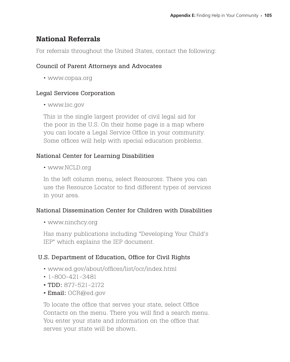# National Referrals

For referrals throughout the United States, contact the following:

## Council of Parent Attorneys and Advocates

• www.copaa.org

# Legal Services Corporation

• www.lsc.gov

This is the single largest provider of civil legal aid for the poor in the U.S. On their home page is a map where you can locate a Legal Service Office in your community. Some offices will help with special education problems.

# National Center for Learning Disabilities

• www.NCLD.org

In the left column menu, select Resources. There you can use the Resource Locator to find different types of services in your area.

#### National Dissemination Center for Children with Disabilities

• www.ninchcy.org

Has many publications including "Developing Your Child's IEP" which explains the IEP document.

# U.S. Department of Education, Office for Civil Rights

- www.ed.gov/about/offices/list/ocr/index.html
- 1-800-421-3481
- TDD: 877-521-2172
- Email: OCR@ed.gov

To locate the office that serves your state, select Office Contacts on the menu. There you will find a search menu. You enter your state and information on the office that serves your state will be shown.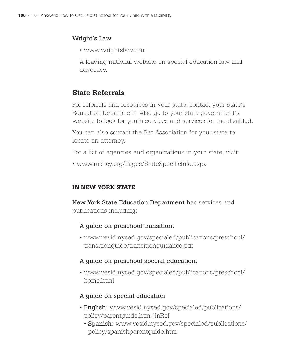## Wright's Law

• www.wrightslaw.com

A leading national website on special education law and advocacy.

# State Referrals

For referrals and resources in your state, contact your state's Education Department. Also go to your state government's website to look for youth services and services for the disabled.

You can also contact the Bar Association for your state to locate an attorney.

For a list of agencies and organizations in your state, visit:

• www.nichcy.org/Pages/StateSpecificInfo.aspx

# IN NEW YORK STATE

New York State Education Department has services and publications including:

# A guide on preschool transition:

• www.vesid.nysed.gov/specialed/publications/preschool/ transitionguide/transitionguidance.pdf

# A guide on preschool special education:

• www.vesid.nysed.gov/specialed/publications/preschool/ home.html

# A guide on special education

- English: www.vesid.nysed.gov/specialed/publications/ policy/parentguide.htm#InRef
	- Spanish: www.vesid.nysed.gov/specialed/publications/ policy/spanishparentguide.htm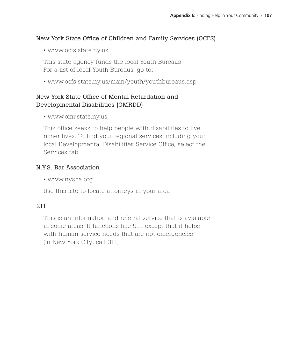## New York State Office of Children and Family Services (OCFS)

• www.ocfs.state.ny.us

This state agency funds the local Youth Bureaus. For a list of local Youth Bureaus, go to:

• www.ocfs.state.ny.us/main/youth/youthbureaus.asp

# New York State Office of Mental Retardation and Developmental Disabilities (OMRDD)

• www.omr.state.ny.us

This office seeks to help people with disabilities to live richer lives. To find your regional services including your local Developmental Disabilities Service Office, select the Services tab.

#### N.Y.S. Bar Association

• www.nysba.org

Use this site to locate attorneys in your area.

#### 211

This is an information and referral service that is available in some areas. It functions like 911 except that it helps with human service needs that are not emergencies. (In New York City, call 311)